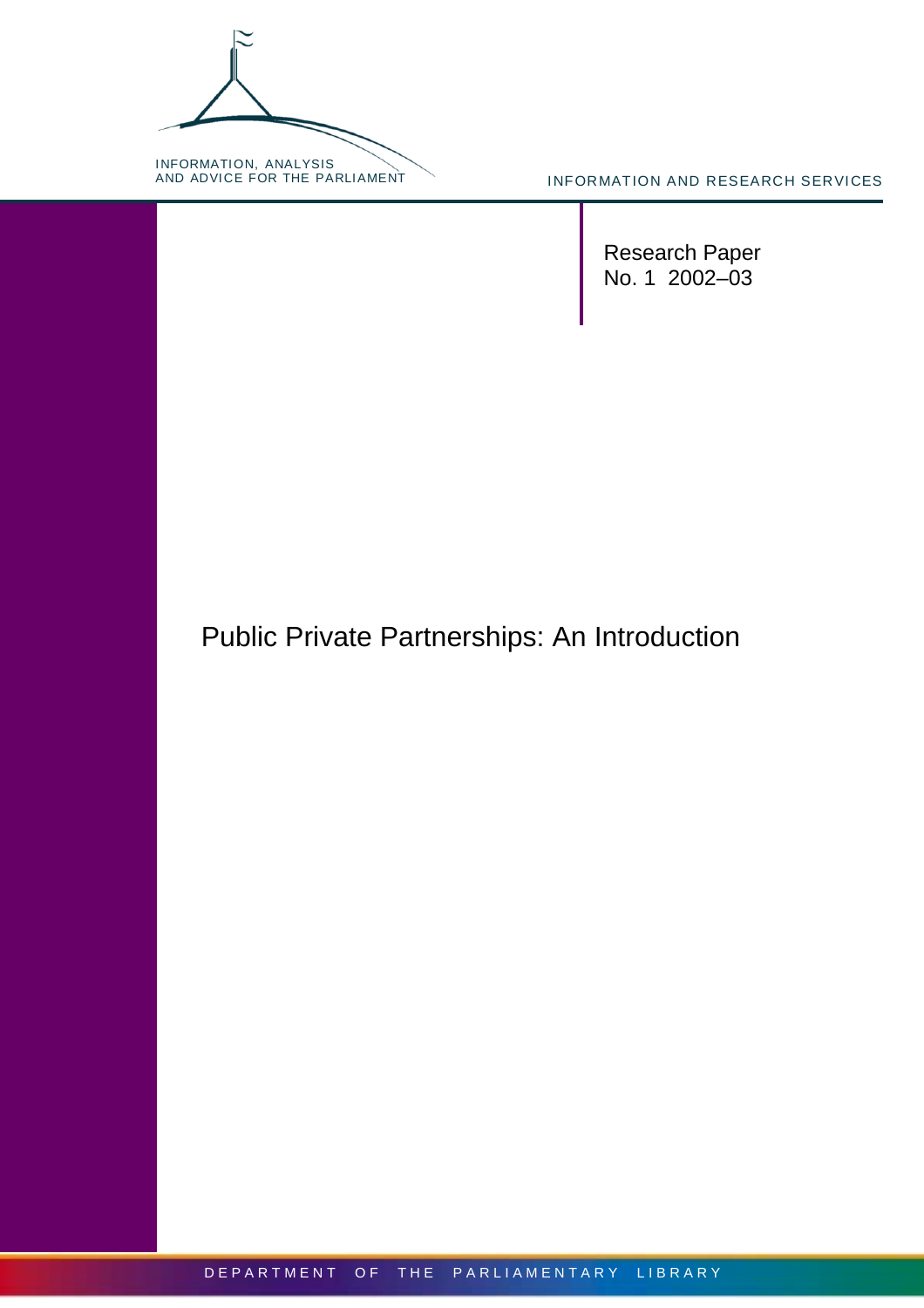INFORMATION, ANALYSIS<br>AND ADVICE FOR THE PARLIAMENT

INFORMATION AND RESEARCH SERVICES

Research Paper No. 1 2002–03

# Public Private Partnerships: An Introduction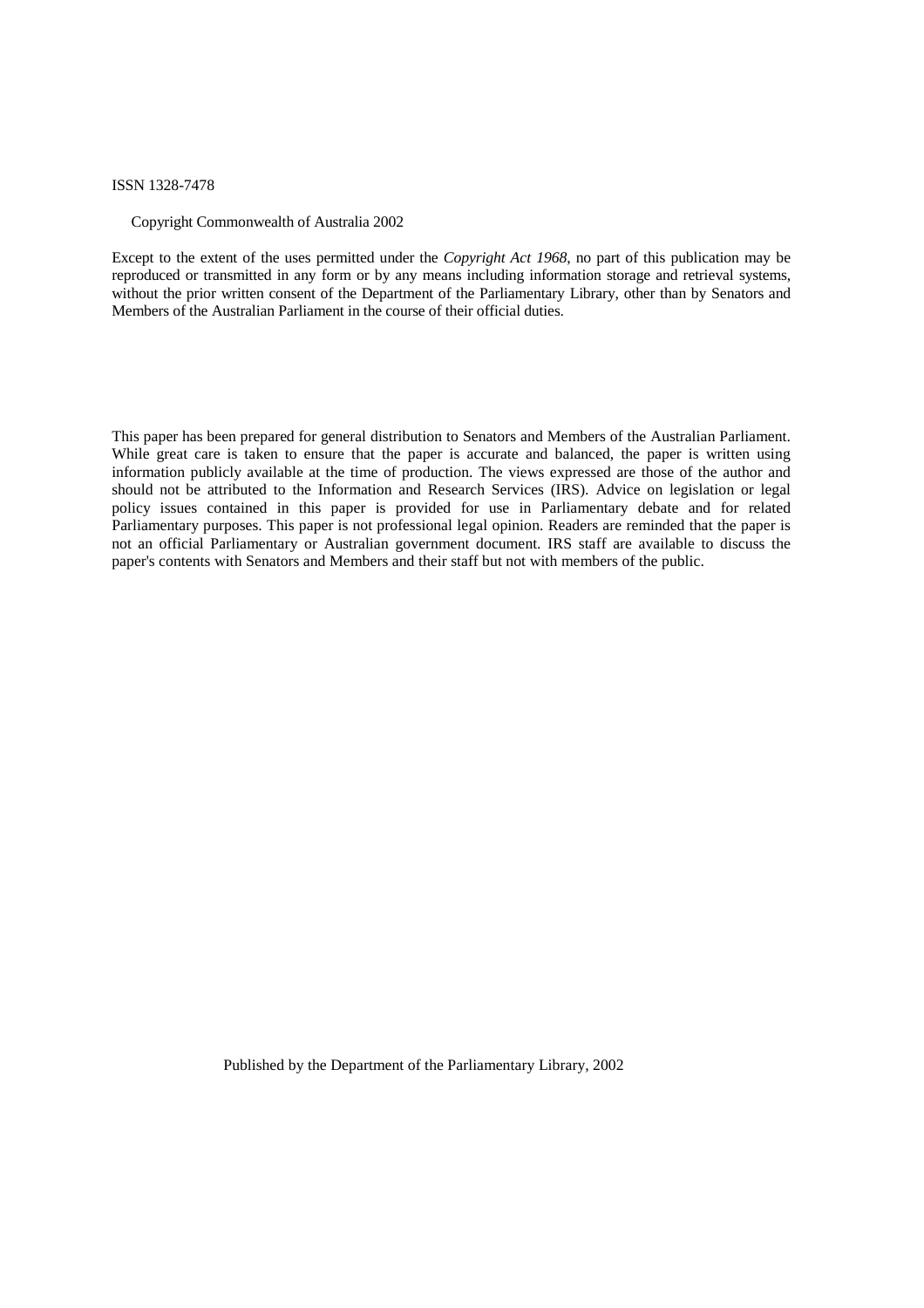#### ISSN 1328-7478

#### Copyright Commonwealth of Australia 2002

Except to the extent of the uses permitted under the *Copyright Act 1968*, no part of this publication may be reproduced or transmitted in any form or by any means including information storage and retrieval systems, without the prior written consent of the Department of the Parliamentary Library, other than by Senators and Members of the Australian Parliament in the course of their official duties.

This paper has been prepared for general distribution to Senators and Members of the Australian Parliament. While great care is taken to ensure that the paper is accurate and balanced, the paper is written using information publicly available at the time of production. The views expressed are those of the author and should not be attributed to the Information and Research Services (IRS). Advice on legislation or legal policy issues contained in this paper is provided for use in Parliamentary debate and for related Parliamentary purposes. This paper is not professional legal opinion. Readers are reminded that the paper is not an official Parliamentary or Australian government document. IRS staff are available to discuss the paper's contents with Senators and Members and their staff but not with members of the public.

Published by the Department of the Parliamentary Library, 2002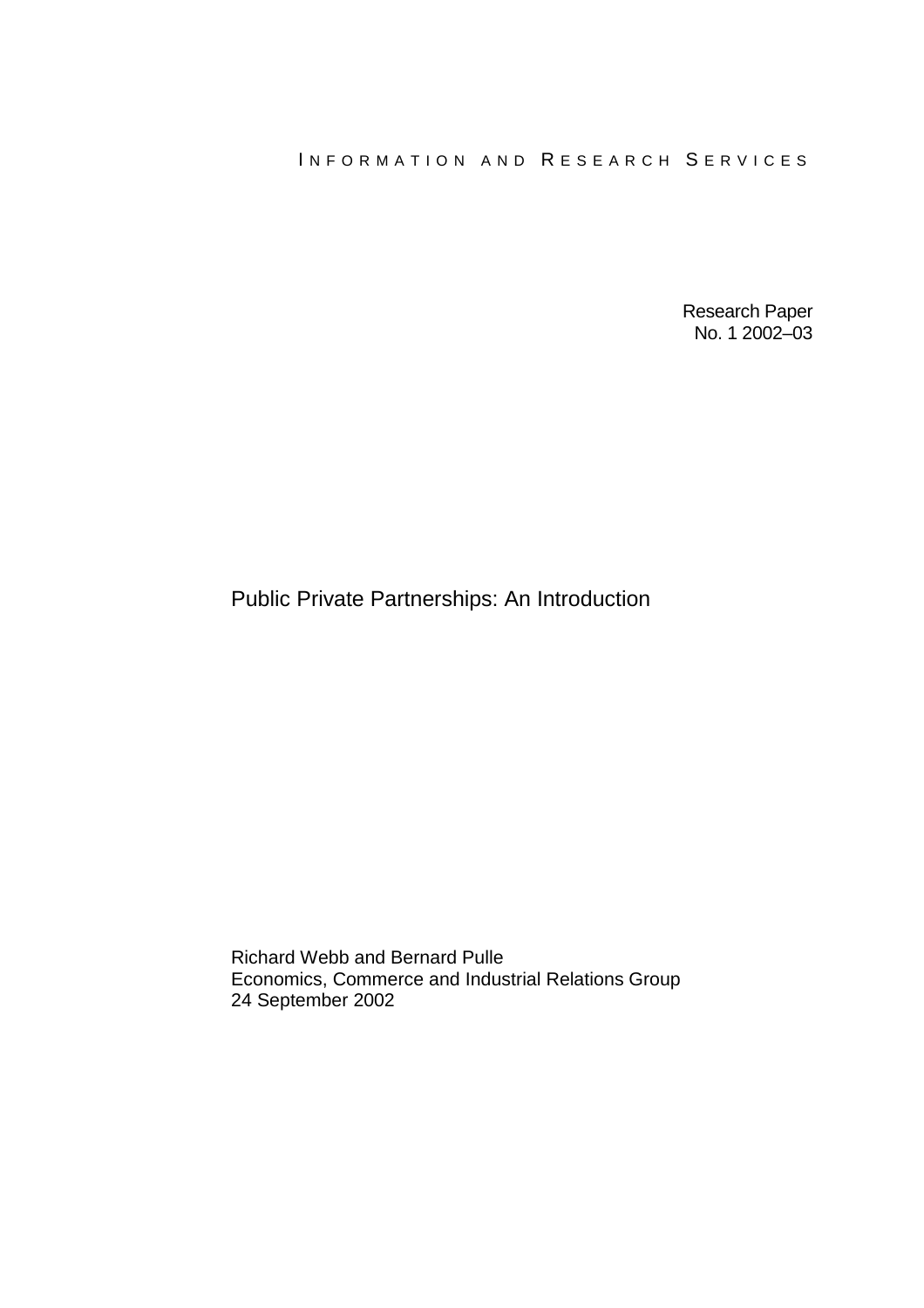Research Paper No. 1 2002–03

## Public Private Partnerships: An Introduction

Richard Webb and Bernard Pulle Economics, Commerce and Industrial Relations Group 24 September 2002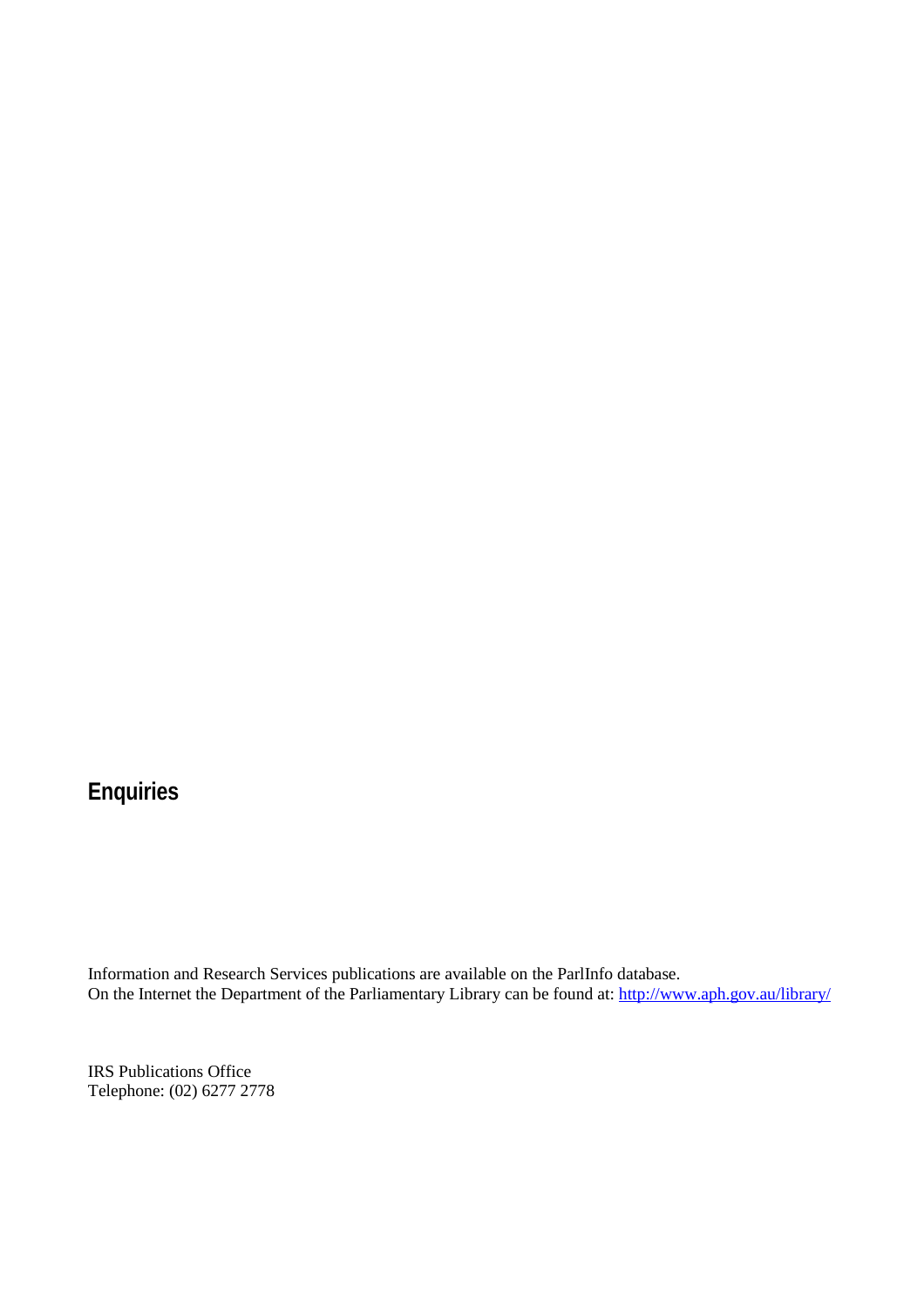# **Enquiries**

Information and Research Services publications are available on the ParlInfo database. On the Internet the Department of the Parliamentary Library can be found at:<http://www.aph.gov.au/library/>

IRS Publications Office Telephone: (02) 6277 2778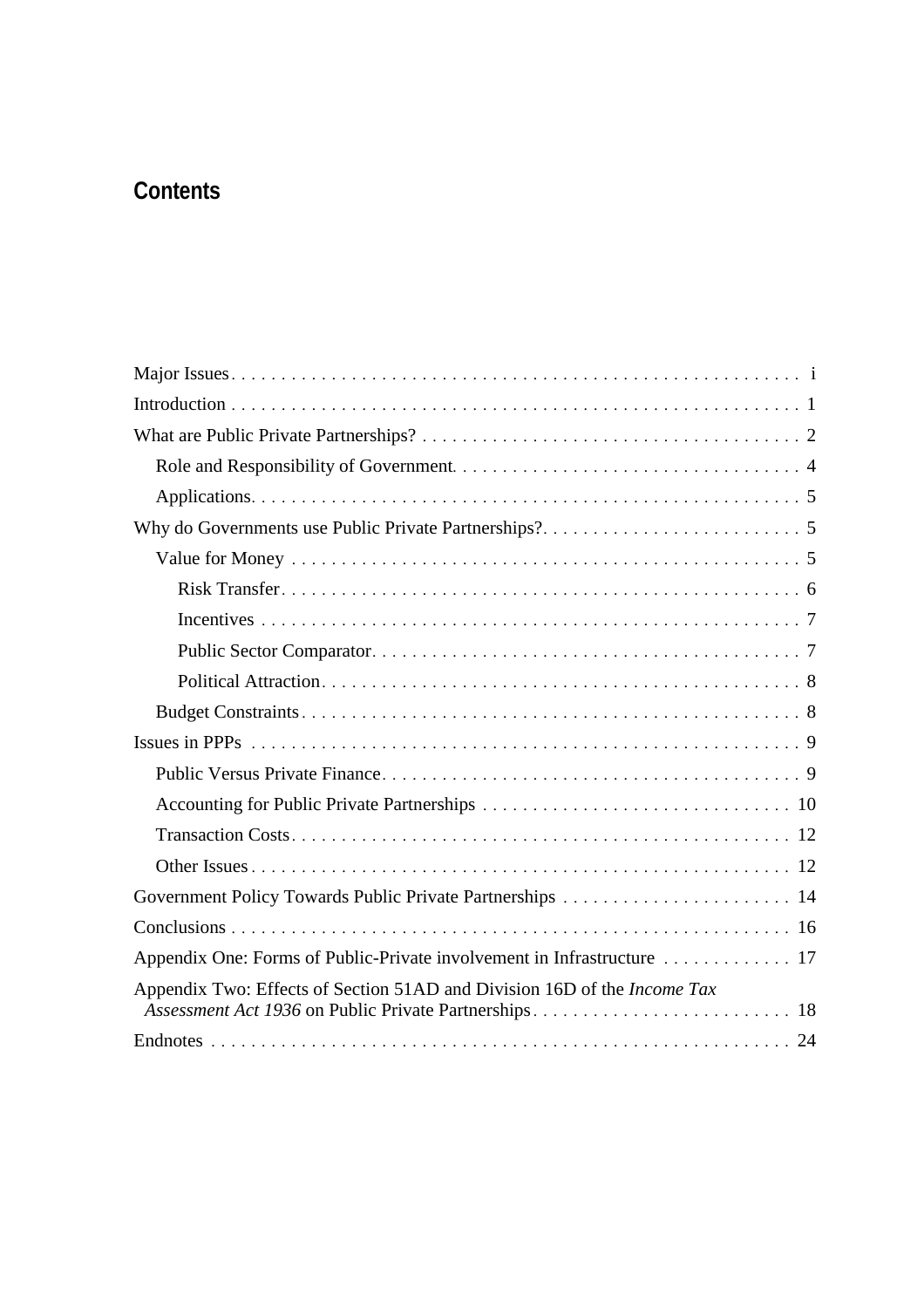# **Contents**

| Appendix Two: Effects of Section 51AD and Division 16D of the Income Tax |
|--------------------------------------------------------------------------|
|                                                                          |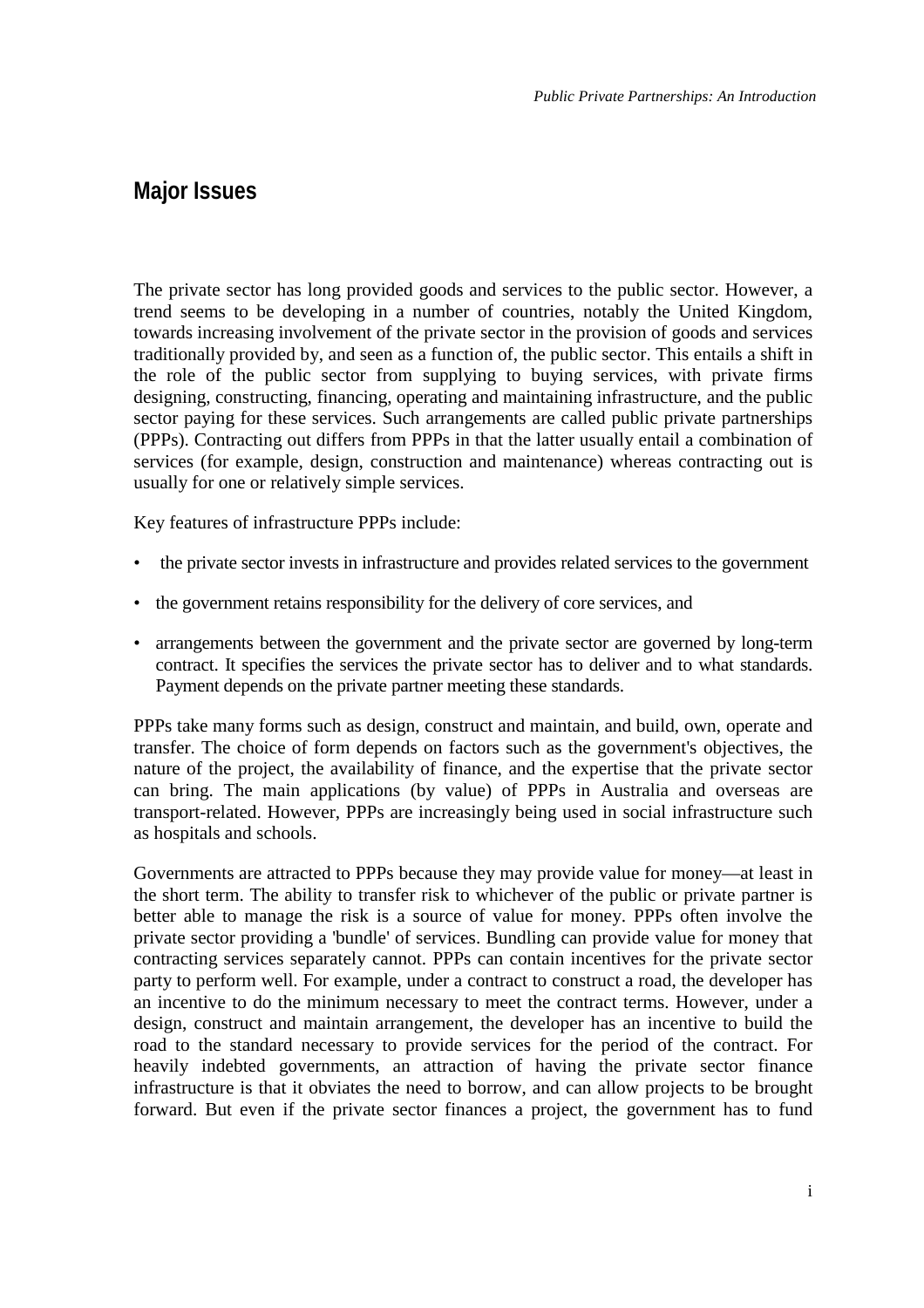## <span id="page-6-0"></span>**Major Issues**

The private sector has long provided goods and services to the public sector. However, a trend seems to be developing in a number of countries, notably the United Kingdom, towards increasing involvement of the private sector in the provision of goods and services traditionally provided by, and seen as a function of, the public sector. This entails a shift in the role of the public sector from supplying to buying services, with private firms designing, constructing, financing, operating and maintaining infrastructure, and the public sector paying for these services. Such arrangements are called public private partnerships (PPPs). Contracting out differs from PPPs in that the latter usually entail a combination of services (for example, design, construction and maintenance) whereas contracting out is usually for one or relatively simple services.

Key features of infrastructure PPPs include:

- the private sector invests in infrastructure and provides related services to the government
- the government retains responsibility for the delivery of core services, and
- arrangements between the government and the private sector are governed by long-term contract. It specifies the services the private sector has to deliver and to what standards. Payment depends on the private partner meeting these standards.

PPPs take many forms such as design, construct and maintain, and build, own, operate and transfer. The choice of form depends on factors such as the government's objectives, the nature of the project, the availability of finance, and the expertise that the private sector can bring. The main applications (by value) of PPPs in Australia and overseas are transport-related. However, PPPs are increasingly being used in social infrastructure such as hospitals and schools.

Governments are attracted to PPPs because they may provide value for money—at least in the short term. The ability to transfer risk to whichever of the public or private partner is better able to manage the risk is a source of value for money. PPPs often involve the private sector providing a 'bundle' of services. Bundling can provide value for money that contracting services separately cannot. PPPs can contain incentives for the private sector party to perform well. For example, under a contract to construct a road, the developer has an incentive to do the minimum necessary to meet the contract terms. However, under a design, construct and maintain arrangement, the developer has an incentive to build the road to the standard necessary to provide services for the period of the contract. For heavily indebted governments, an attraction of having the private sector finance infrastructure is that it obviates the need to borrow, and can allow projects to be brought forward. But even if the private sector finances a project, the government has to fund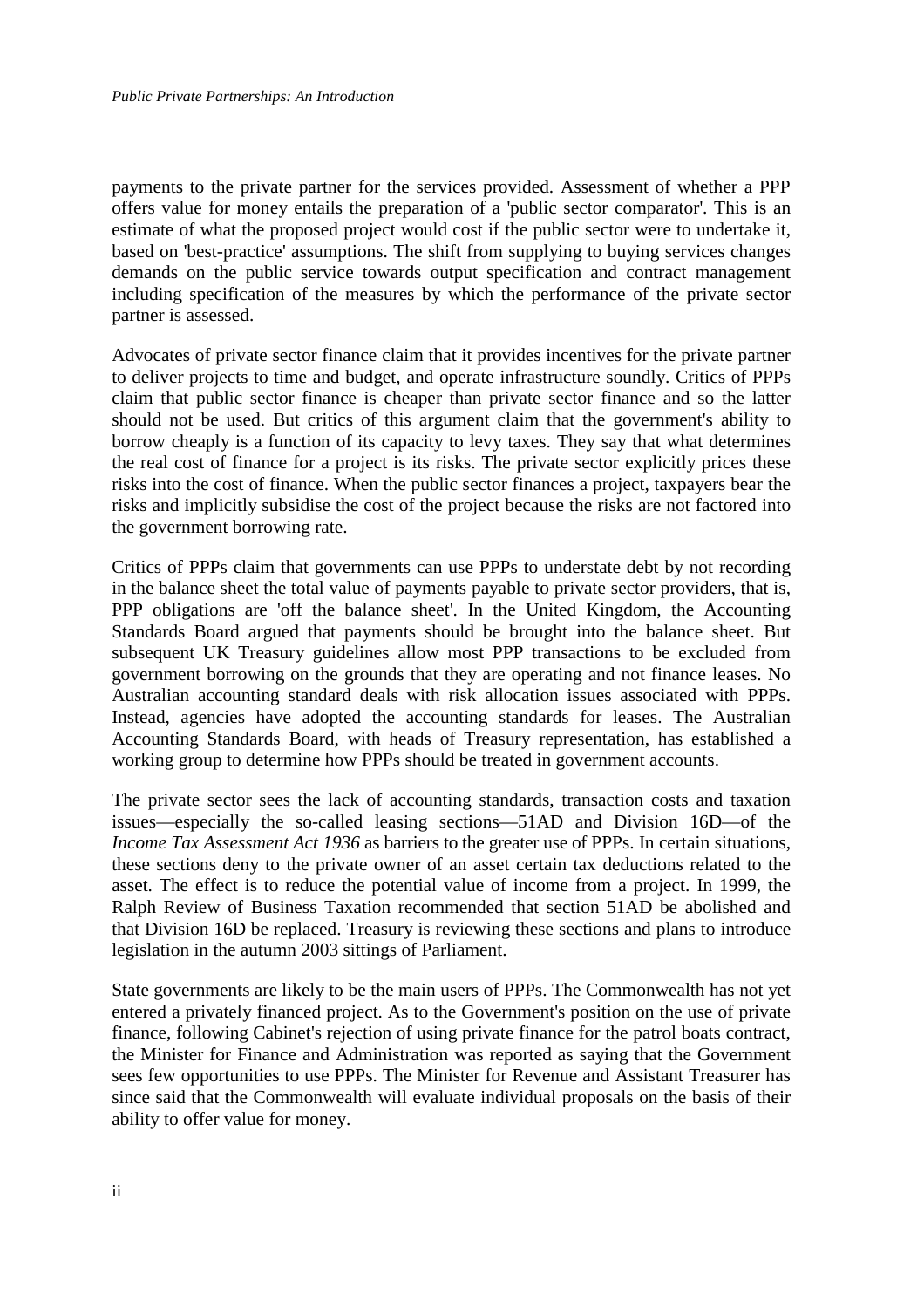payments to the private partner for the services provided. Assessment of whether a PPP offers value for money entails the preparation of a 'public sector comparator'. This is an estimate of what the proposed project would cost if the public sector were to undertake it, based on 'best-practice' assumptions. The shift from supplying to buying services changes demands on the public service towards output specification and contract management including specification of the measures by which the performance of the private sector partner is assessed.

Advocates of private sector finance claim that it provides incentives for the private partner to deliver projects to time and budget, and operate infrastructure soundly. Critics of PPPs claim that public sector finance is cheaper than private sector finance and so the latter should not be used. But critics of this argument claim that the government's ability to borrow cheaply is a function of its capacity to levy taxes. They say that what determines the real cost of finance for a project is its risks. The private sector explicitly prices these risks into the cost of finance. When the public sector finances a project, taxpayers bear the risks and implicitly subsidise the cost of the project because the risks are not factored into the government borrowing rate.

Critics of PPPs claim that governments can use PPPs to understate debt by not recording in the balance sheet the total value of payments payable to private sector providers, that is, PPP obligations are 'off the balance sheet'. In the United Kingdom, the Accounting Standards Board argued that payments should be brought into the balance sheet. But subsequent UK Treasury guidelines allow most PPP transactions to be excluded from government borrowing on the grounds that they are operating and not finance leases. No Australian accounting standard deals with risk allocation issues associated with PPPs. Instead, agencies have adopted the accounting standards for leases. The Australian Accounting Standards Board, with heads of Treasury representation, has established a working group to determine how PPPs should be treated in government accounts.

The private sector sees the lack of accounting standards, transaction costs and taxation issues—especially the so-called leasing sections—51AD and Division 16D—of the *Income Tax Assessment Act 1936* as barriers to the greater use of PPPs. In certain situations, these sections deny to the private owner of an asset certain tax deductions related to the asset. The effect is to reduce the potential value of income from a project. In 1999, the Ralph Review of Business Taxation recommended that section 51AD be abolished and that Division 16D be replaced. Treasury is reviewing these sections and plans to introduce legislation in the autumn 2003 sittings of Parliament.

State governments are likely to be the main users of PPPs. The Commonwealth has not yet entered a privately financed project. As to the Government's position on the use of private finance, following Cabinet's rejection of using private finance for the patrol boats contract, the Minister for Finance and Administration was reported as saying that the Government sees few opportunities to use PPPs. The Minister for Revenue and Assistant Treasurer has since said that the Commonwealth will evaluate individual proposals on the basis of their ability to offer value for money.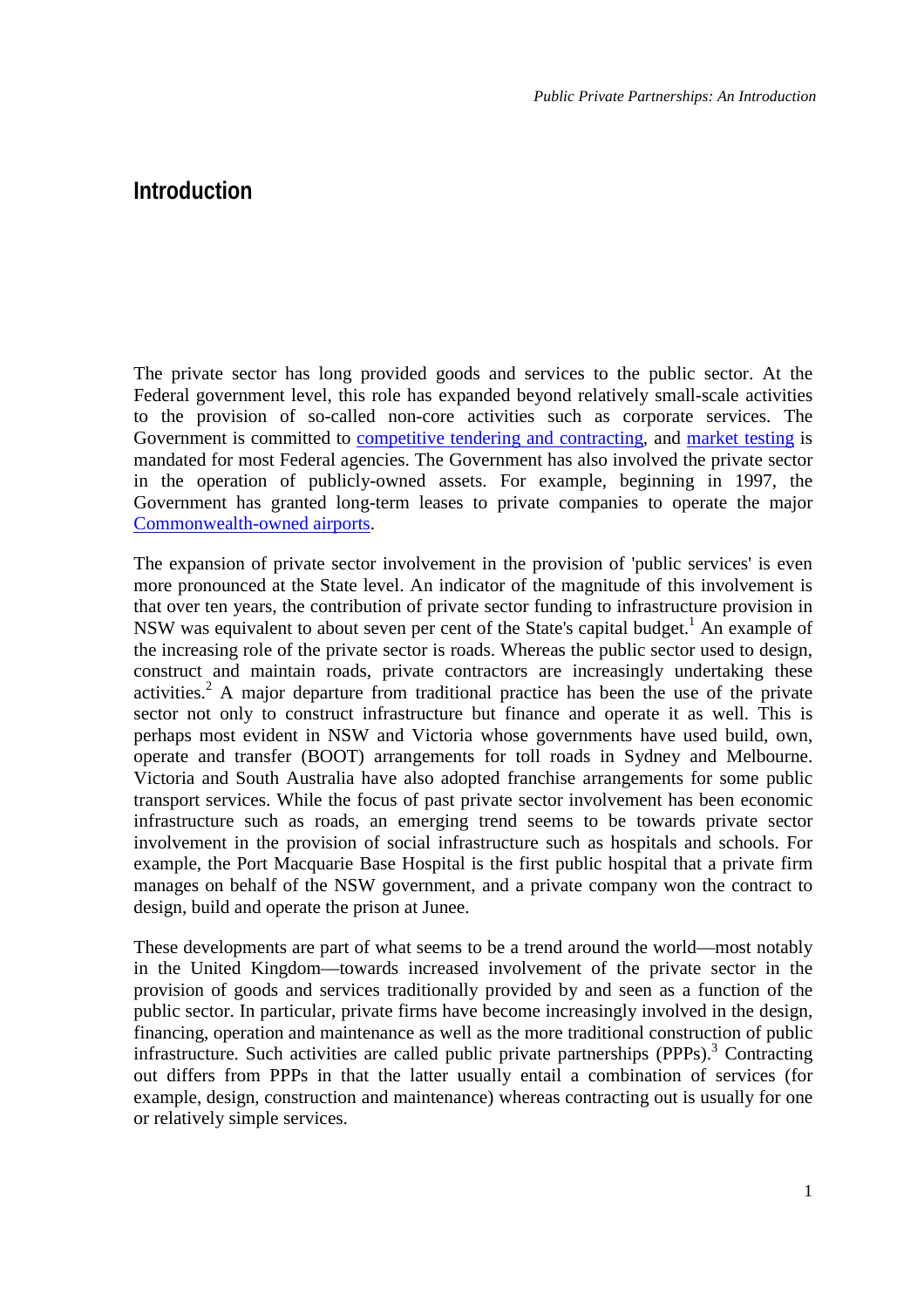*Public Private Partnerships: An Introduction*

## <span id="page-8-0"></span>**Introduction**

The private sector has long provided goods and services to the public sector. At the Federal government level, this role has expanded beyond relatively small-scale activities to the provision of so-called non-core activities such as corporate services. The Government is committed to [competitive tendering and contracting,](http://www.finance.gov.au/aboutus/articles/initiative%5Fprivate%5Fsector.html) and [market testing](http://www.finance.gov.au/assetsales/current%5Fprojects/market%5Ftesting%5Fand%5Fcontracting.html) is mandated for most Federal agencies. The Government has also involved the private sector in the operation of publicly-owned assets. For example, beginning in 1997, the Government has granted long-term leases to private companies to operate the major [Commonwealth-owned airports.](http://www.accc.gov.au/airport/fs-air.htm)

The expansion of private sector involvement in the provision of 'public services' is even more pronounced at the State level. An indicator of the magnitude of this involvement is that over ten years, the contribution of private sector funding to infrastructure provision in NSW was equivalent to about seven per cent of the State's capital budget.<sup>1</sup> An example of the increasing role of the private sector is roads. Whereas the public sector used to design, construct and maintain roads, private contractors are increasingly undertaking these activities.<sup>2</sup> A major departure from traditional practice has been the use of the private sector not only to construct infrastructure but finance and operate it as well. This is perhaps most evident in NSW and Victoria whose governments have used build, own, operate and transfer (BOOT) arrangements for toll roads in Sydney and Melbourne. Victoria and South Australia have also adopted franchise arrangements for some public transport services. While the focus of past private sector involvement has been economic infrastructure such as roads, an emerging trend seems to be towards private sector involvement in the provision of social infrastructure such as hospitals and schools. For example, the Port Macquarie Base Hospital is the first public hospital that a private firm manages on behalf of the NSW government, and a private company won the contract to design, build and operate the prison at Junee.

These developments are part of what seems to be a trend around the world—most notably in the United Kingdom—towards increased involvement of the private sector in the provision of goods and services traditionally provided by and seen as a function of the public sector. In particular, private firms have become increasingly involved in the design, financing, operation and maintenance as well as the more traditional constru[cti](#page-35-0)on of public infrastructure. Such activities are called public private partnerships (PPPs).<sup>3</sup> Contracting out differs from PPPs in that the latter usually entail a combination of services (for example, design, construction and maintenance) whereas contracting out is usually for one or relatively simple services.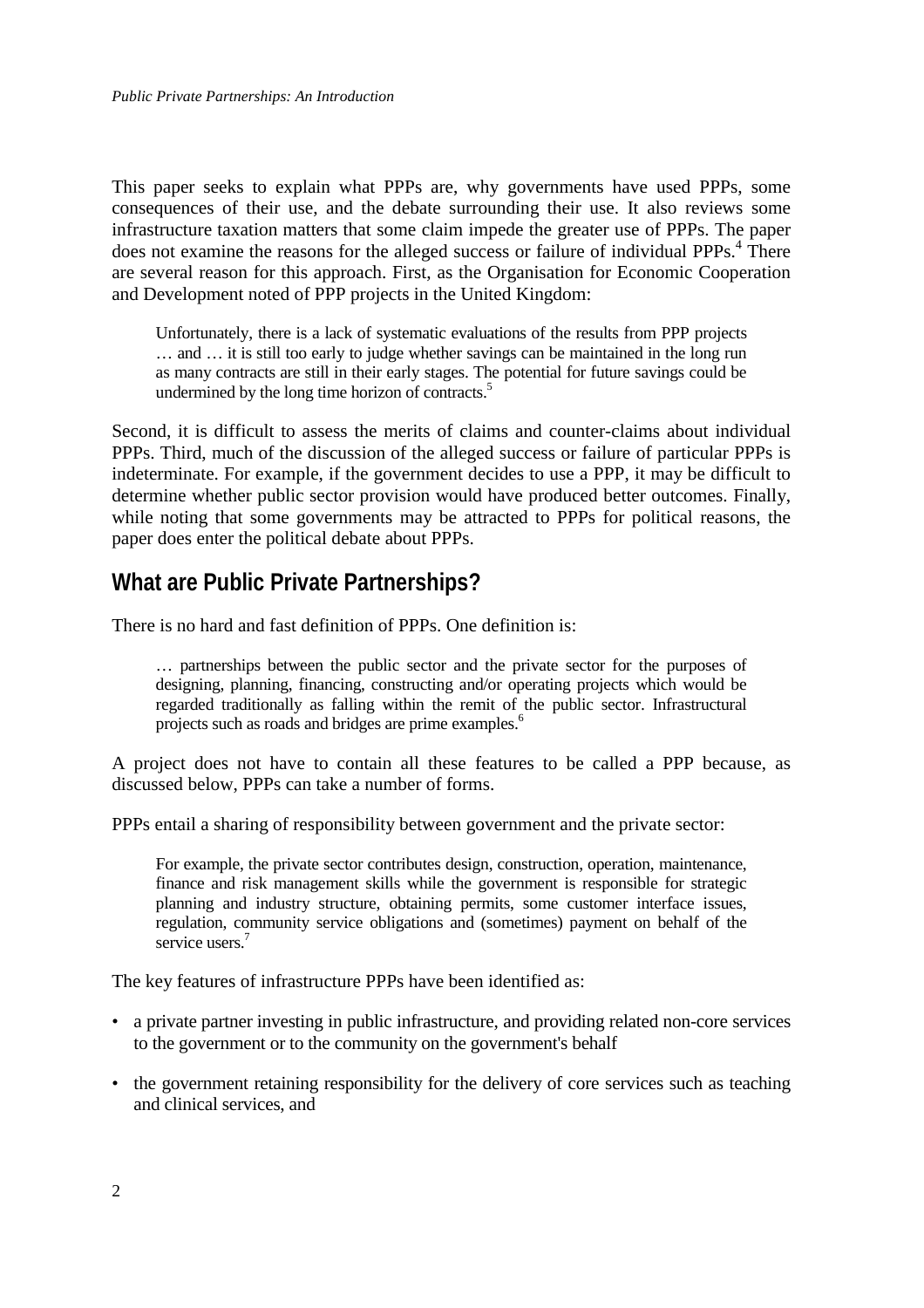<span id="page-9-0"></span>This paper seeks to explain what PPPs are, why governments have used PPPs, some consequences of their use, and the debate surrounding their use. It also reviews some infrastructure taxation matters that some claim impede the greater use of PPPs. The paper does not examine the reasons for the alleged success or failure of individual PPPs.<sup>4</sup> There are several reason for this approach. First, as the Organisation for Economic Cooperation and Development noted of PPP projects in the United Kingdom:

Unfortunately, there is a lack of systematic evaluations of the results from PPP projects … and … it is still too early to judge whether savings can be maintained in the long run as many contracts are still in their early stages. T[he](#page-35-0) potential for future savings could be undermined by the long time horizon of contracts.<sup>5</sup>

Second, it is difficult to assess the merits of claims and counter-claims about individual PPPs. Third, much of the discussion of the alleged success or failure of particular PPPs is indeterminate. For example, if the government decides to use a PPP, it may be difficult to determine whether public sector provision would have produced better outcomes. Finally, while noting that some governments may be attracted to PPPs for political reasons, the paper does enter the political debate about PPPs.

## **What are Public Private Partnerships?**

There is no hard and fast definition of PPPs. One definition is:

… partnerships between the public sector and the private sector for the purposes of designing, planning, financing, constructing and/or operating projects which would be regarded traditionally as falling within the remit of [t](#page-35-0)he public sector. Infrastructural projects such as roads and bridges are prime examples.<sup>6</sup>

A project does not have to contain all these features to be called a PPP because, as discussed below, PPPs can take a number of forms.

PPPs entail a sharing of responsibility between government and the private sector:

For example, the private sector contributes design, construction, operation, maintenance, finance and risk management skills while the government is responsible for strategic planning and industry structure, obtaining permits, some customer interface issues, regulation, c[om](#page-35-0)munity service obligations and (sometimes) payment on behalf of the service users.<sup>7</sup>

The key features of infrastructure PPPs have been identified as:

- a private partner investing in public infrastructure, and providing related non-core services to the government or to the community on the government's behalf
- the government retaining responsibility for the delivery of core services such as teaching and clinical services, and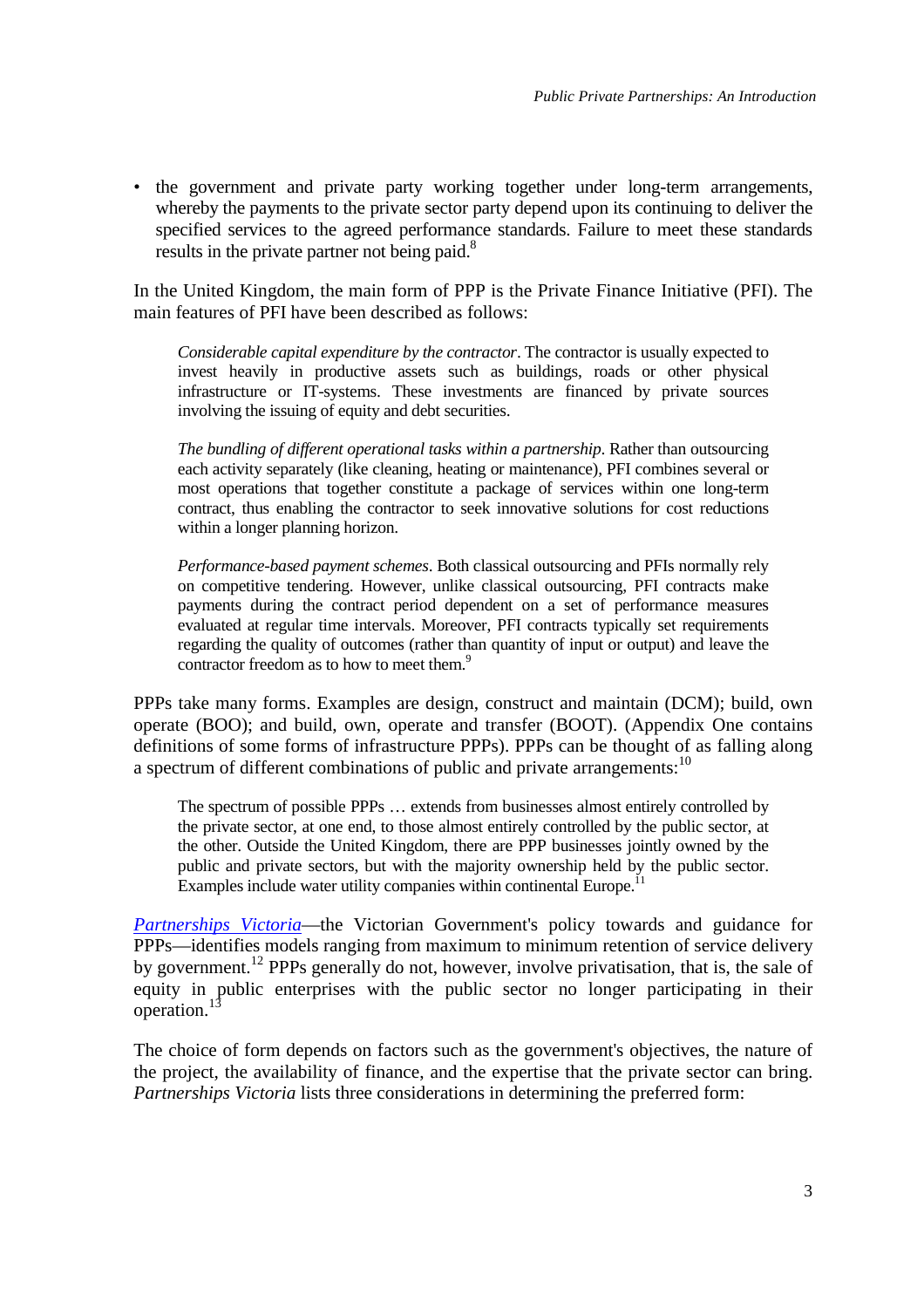• the government and private party working together under long-term arrangements, whereby the payments to the private sector party depend upon its continuing to deliver the specified services to the agreed performance standards. Failure to meet these standards results in the private partner not being paid.<sup>8</sup>

In the United Kingdom, the main form of PPP is the Private Finance Initiative (PFI). The main features of PFI have been described as follows:

*Considerable capital expenditure by the contractor*. The contractor is usually expected to invest heavily in productive assets such as buildings, roads or other physical infrastructure or IT-systems. These investments are financed by private sources involving the issuing of equity and debt securities.

*The bundling of different operational tasks within a partnership*. Rather than outsourcing each activity separately (like cleaning, heating or maintenance), PFI combines several or most operations that together constitute a package of services within one long-term contract, thus enabling the contractor to seek innovative solutions for cost reductions within a longer planning horizon.

*Performance-based payment schemes*. Both classical outsourcing and PFIs normally rely on competitive tendering. However, unlike classical outsourcing, PFI contracts make payments during the contract period dependent on a set of performance measures evaluated at regular time intervals. Moreover, PFI contracts typically set requirements regarding the quality of outcomes (rather t[ha](#page-35-0)n quantity of input or output) and leave the contractor freedom as to how to meet them.<sup>9</sup>

PPPs take many forms. Examples are design, construct and maintain (DCM); build, own operate (BOO); and build, own, operate and transfer (BOOT). (Appendix One contains definitions of some forms of infrastructure PPPs). PPPs can be thought of as falling along a spectrum of different combinations of public and private arrangements:<sup>10</sup>

The spectrum of possible PPPs … extends from businesses almost entirely controlled by the private sector, at one end, to those almost entirely controlled by the public sector, at the other. Outside the United Kingdom, there are PPP businesses jointly owned by the public and private sectors, but with the majority ownership held b[y](#page-35-0) the public sector. Examples include water utility companies within continental Europe.<sup>1</sup>

*[Partnerships](http://www.partnerships.vic.gov.au/domino/web_notes/PartVic/PVSite.nsf/Frameset/PV?OpenDocument) Victoria*—the Victorian Government's policy towards and guidance for PPPs—identifies models ranging from maximum to minimum retention of service delivery by government.<sup>12</sup> PPPs generally do not, however, involve privatisation, that is, the sale of equity in public enterprises with the public sector no longer participating in their operation.<sup>[13](#page-35-0)</sup>

The choice of form depends on factors such as the government's objectives, the nature of the project, the availability of finance, and the expertise that the private sector can bring. *Partnerships Victoria* lists three considerations in determining the preferred form: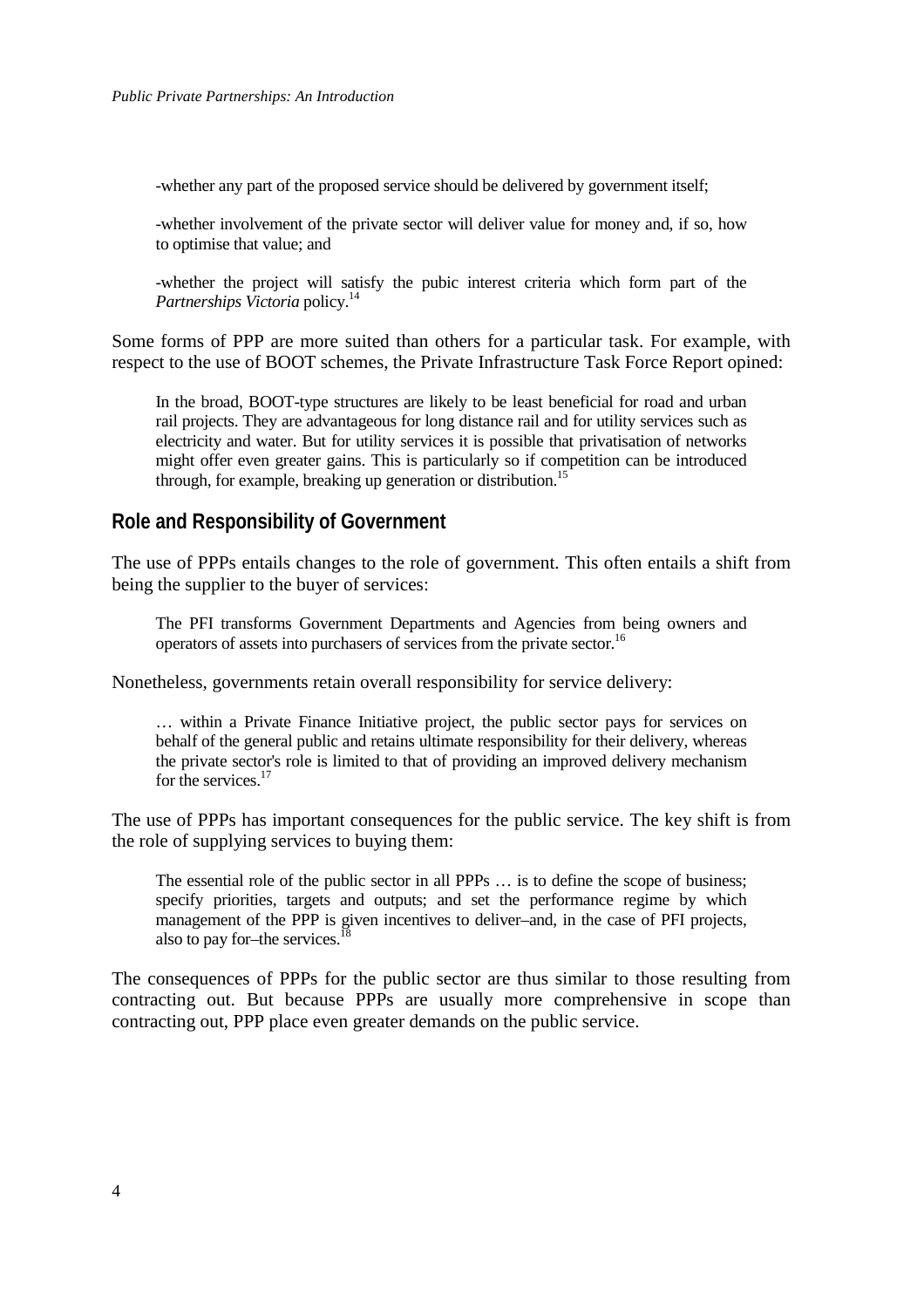<span id="page-11-0"></span>-whether any part of the proposed service should be delivered by government itself;

-whether involvement of the private sector will deliver value for money and, if so, how to optimise that value; and

-whether the project will satisfy the pubic interest criteria which form part of the *Partnerships Victoria* policy.<sup>[14](#page-35-0)</sup>

Some forms of PPP are more suited than others for a particular task. For example, with respect to the use of BOOT schemes, the Private Infrastructure Task Force Report opined:

In the broad, BOOT-type structures are likely to be least beneficial for road and urban rail projects. They are advantageous for long distance rail and for utility services such as electricity and water. But for utility services it is possible that privatisation of networks might offer even greater gains. This is particularly so if co[mp](#page-35-0)etition can be introduced through, for example, breaking up generation or distribution.<sup>15</sup>

### **Role and Responsibility of Government**

The use of PPPs entails changes to the role of government. This often entails a shift from being the supplier to the buyer of services:

The PFI transforms Government Departments and Agencies from being owners and operators of assets into purchasers of services from the private sector[.16](#page-35-0)

Nonetheless, governments retain overall responsibility for service delivery:

… within a Private Finance Initiative project, the public sector pays for services on behalf of the general public and retains ultimate responsibility for their delivery, whereas the private sector's role is limited to that of providing an improved delivery mechanism for the services.<sup>17</sup>

The use of PPPs has important consequences for the public service. The key shift is from the role of supplying services to buying them:

The essential role of the public sector in all PPPs … is to define the scope of business; specify priorities, targets and outputs; and set the performance regime by which management of the PPP is given incentives to deliver–and, in the case of PFI projects, also to pay for–the services.<sup>[18](#page-35-0)</sup>

The consequences of PPPs for the public sector are thus similar to those resulting from contracting out. But because PPPs are usually more comprehensive in scope than contracting out, PPP place even greater demands on the public service.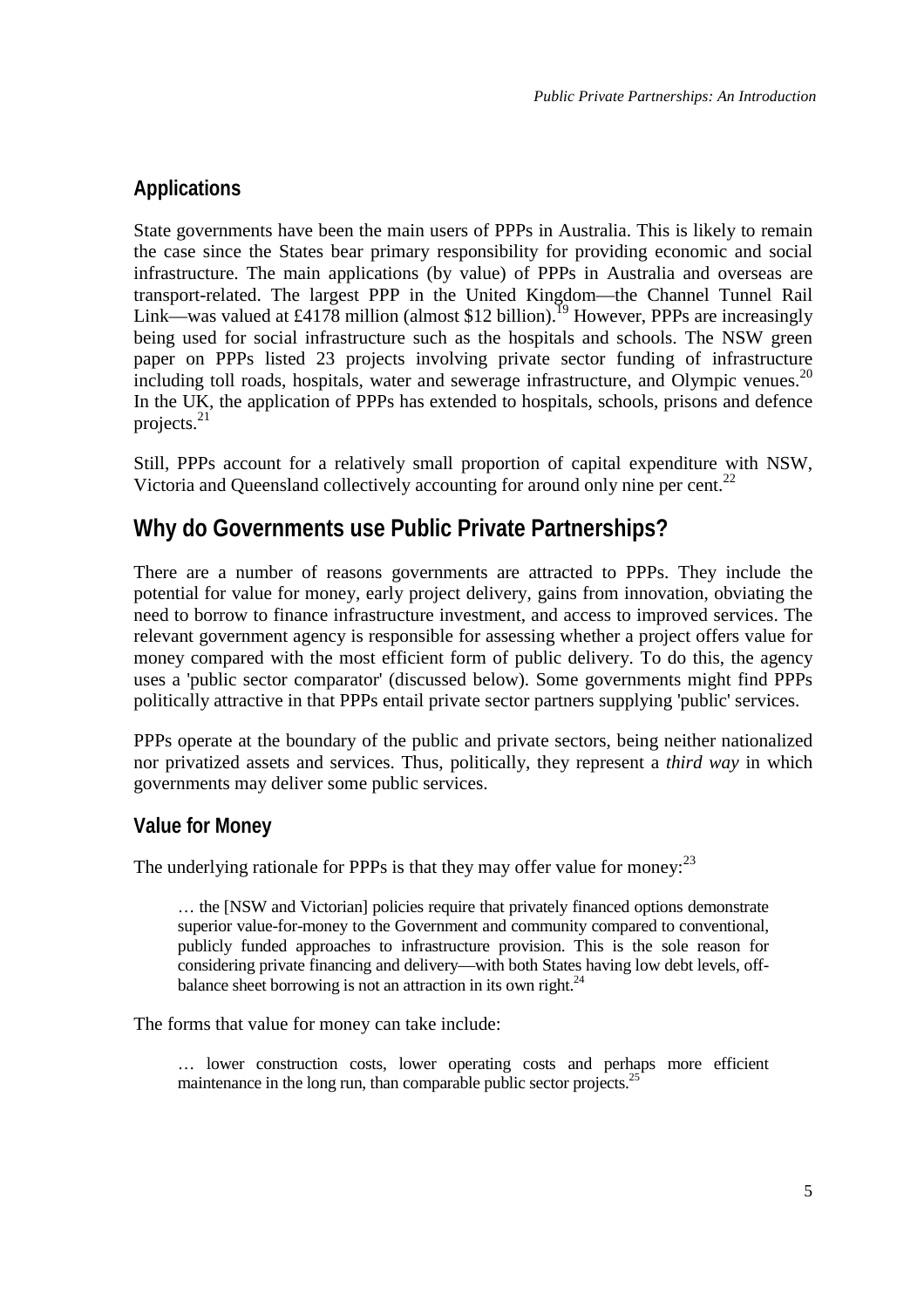## <span id="page-12-0"></span>**Applications**

State governments have been the main users of PPPs in Australia. This is likely to remain the case since the States bear primary responsibility for providing economic and social infrastructure. The main applications (by value) of PPPs in Australia and overseas are transport-related. The largest PPP in the United Kingdom—the Channel Tunnel Rail Link—was valued at £4178 million (almost \$12 billion).<sup>19</sup> However, PPPs are increasingly being used for social infrastructure such as the hospitals and schools. The NSW green paper on PPPs listed 23 projects involving private sector funding of infrastructure including toll roads, hospitals, water and sewerage infrastructure, and Olympic venues.<sup>[20](#page-35-0)</sup> In the UK, the application of PPPs has extended to hospitals, schools, prisons and defence projects. $^{21}$  $^{21}$  $^{21}$ 

Still, PPPs account for a relatively small proportion of capital expenditure with NSW, Victoria and Queensland collectively accounting for around only nine per cent.<sup>[22](#page-35-0)</sup>

## **Why do Governments use Public Private Partnerships?**

There are a number of reasons governments are attracted to PPPs. They include the potential for value for money, early project delivery, gains from innovation, obviating the need to borrow to finance infrastructure investment, and access to improved services. The relevant government agency is responsible for assessing whether a project offers value for money compared with the most efficient form of public delivery. To do this, the agency uses a 'public sector comparator' (discussed below). Some governments might find PPPs politically attractive in that PPPs entail private sector partners supplying 'public' services.

PPPs operate at the boundary of the public and private sectors, being neither nationalized nor privatized assets and services. Thus, politically, they represent a *third way* in which governments may deliver some public services.

## **Value for Money**

The underlying rationale for PPPs is that they may offer value for money:  $^{23}$  $^{23}$  $^{23}$ 

… the [NSW and Victorian] policies require that privately financed options demonstrate superior value-for-money to the Government and community compared to conventional, publicly funded approaches to infrastructure provision. This is the sole reason for considering private financing and delivery—with both States having low debt levels, offbalance sheet borrowing is not an attraction in its own right. $^{24}$  $^{24}$  $^{24}$ 

The forms that value for money can take include:

… lower construction costs, lower operating costs and perhaps more efficient maintenance in the long run, than comparable public sector projects.<sup>[25](#page-35-0)</sup>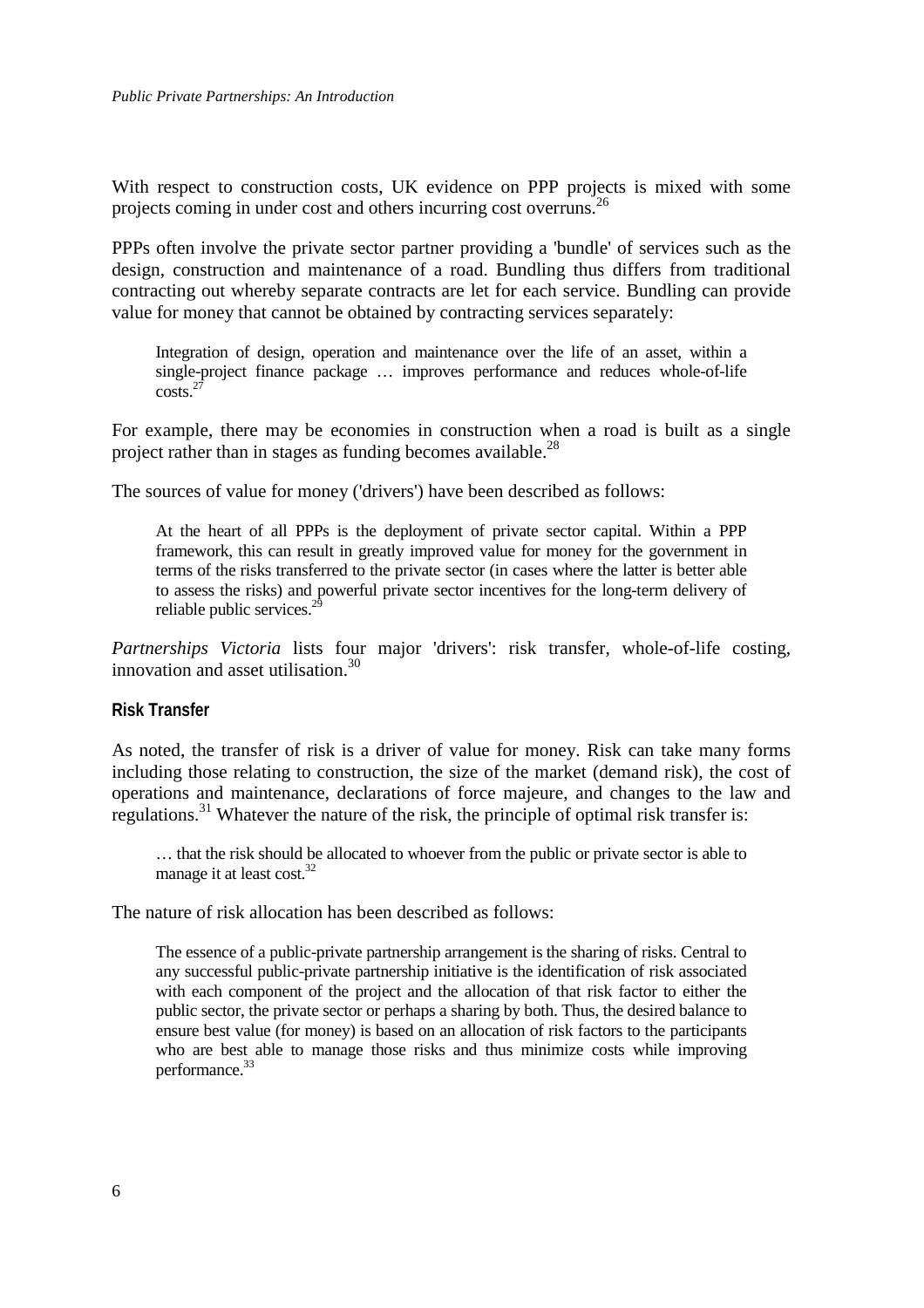<span id="page-13-0"></span>With respect to construction costs, UK evidence on PPP projects is mixed with some projects coming in under cost and others incurring cost overruns.<sup>[26](#page-35-0)</sup>

PPPs often involve the private sector partner providing a 'bundle' of services such as the design, construction and maintenance of a road. Bundling thus differs from traditional contracting out whereby separate contracts are let for each service. Bundling can provide value for money that cannot be obtained by contracting services separately:

Integration of design, operation and maintenance over the life of an asset, within a single-project finance package … improves performance and reduces whole-of-life costs.[27](#page-35-0)

For example, there may be economies in construction when a road is built as a single project rather than in stages as funding becomes available.<sup>28</sup>

The sources of value for money ('drivers') have been described as follows:

At the heart of all PPPs is the deployment of private sector capital. Within a PPP framework, this can result in greatly improved value for money for the government in terms of the risks transferred to the private sector (in cases where the latter is better able to assess the risks) and powerful private sector incentives for the long-term delivery of reliable public services. $^{29}$  $^{29}$  $^{29}$ 

*Partnerships Victoria* lists four major 'drivers': risk transfer, whole-of-life costing, innovation and asset utilisation.<sup>30</sup>

#### **Risk Transfer**

As noted, the transfer of risk is a driver of value for money. Risk can take many forms including those relating to construction, the size of the market (demand risk), the cost of operations and maintenance, declarations of force majeure, and changes to the law and regulations.[31 W](#page-35-0)hatever the nature of the risk, the principle of optimal risk transfer is:

… that the risk should be allocated to whoever from the public or private sector is able to manage it at least cost. $32$ 

The nature of risk allocation has been described as follows:

The essence of a public-private partnership arrangement is the sharing of risks. Central to any successful public-private partnership initiative is the identification of risk associated with each component of the project and the allocation of that risk factor to either the public sector, the private sector or perhaps a sharing by both. Thus, the desired balance to ensure best value (for money) is based on an allocation of risk factors to the participants who are best able to manage those risks and thus minimize costs while improving performance.<sup>[33](#page-35-0)</sup>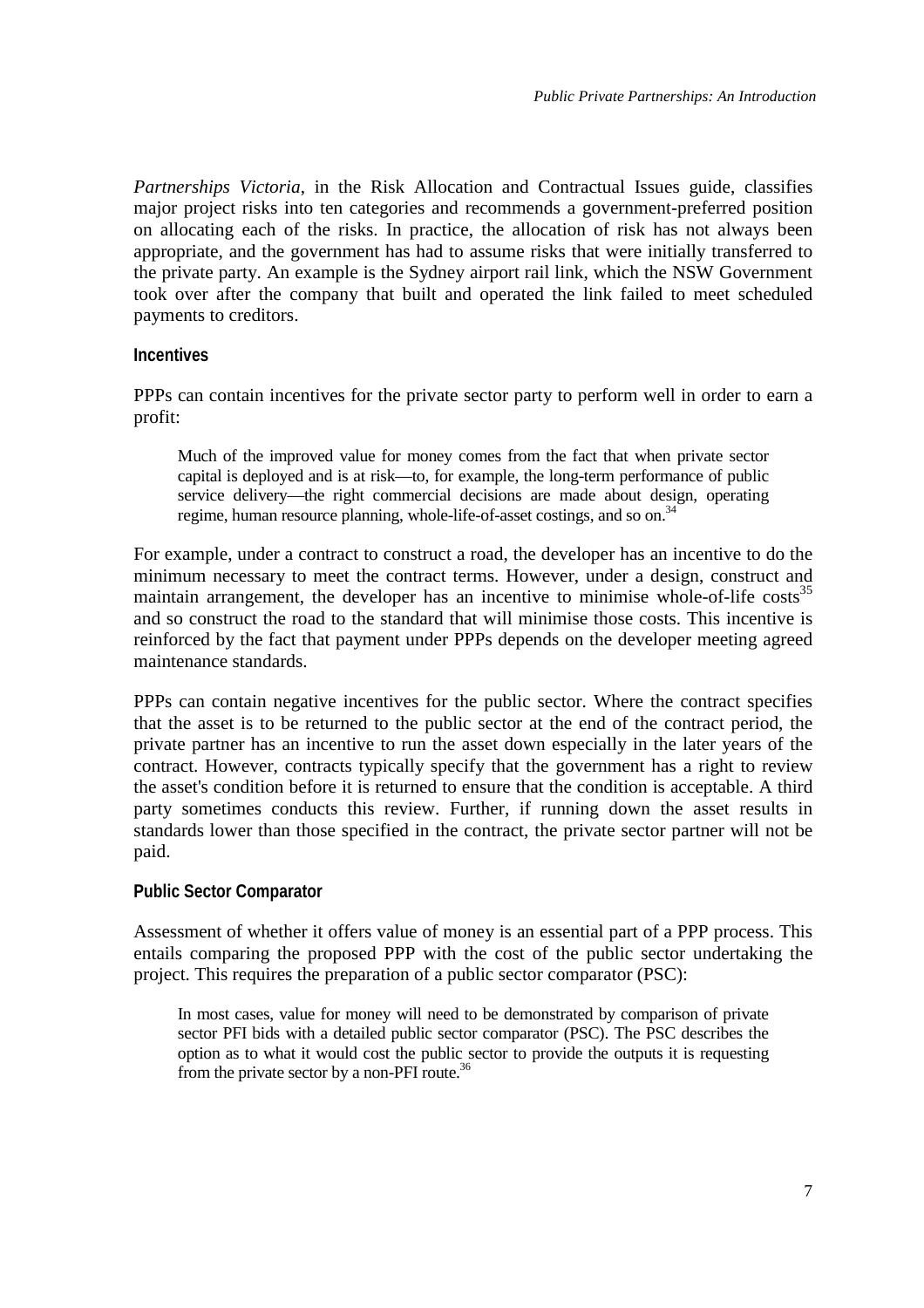<span id="page-14-0"></span>*Partnerships Victoria*, in the Risk Allocation and Contractual Issues guide, classifies major project risks into ten categories and recommends a government-preferred position on allocating each of the risks. In practice, the allocation of risk has not always been appropriate, and the government has had to assume risks that were initially transferred to the private party. An example is the Sydney airport rail link, which the NSW Government took over after the company that built and operated the link failed to meet scheduled payments to creditors.

### **Incentives**

PPPs can contain incentives for the private sector party to perform well in order to earn a profit:

Much of the improved value for money comes from the fact that when private sector capital is deployed and is at risk—to, for example, the long-term performance of public service delivery—the right commercial decisions are made about design, operating regime, human resource planning, whole-life-of-asset costings, and so on.<sup>[34](#page-35-0)</sup>

For example, under a contract to construct a road, the developer has an incentive to do the minimum necessary to meet the contract terms. However, under a design, construct and maintain arrangement, the developer has an incentive to minimise whole-of-life costs<sup>[35](#page-35-0)</sup> and so construct the road to the standard that will minimise those costs. This incentive is reinforced by the fact that payment under PPPs depends on the developer meeting agreed maintenance standards.

PPPs can contain negative incentives for the public sector. Where the contract specifies that the asset is to be returned to the public sector at the end of the contract period, the private partner has an incentive to run the asset down especially in the later years of the contract. However, contracts typically specify that the government has a right to review the asset's condition before it is returned to ensure that the condition is acceptable. A third party sometimes conducts this review. Further, if running down the asset results in standards lower than those specified in the contract, the private sector partner will not be paid.

### **Public Sector Comparator**

Assessment of whether it offers value of money is an essential part of a PPP process. This entails comparing the proposed PPP with the cost of the public sector undertaking the project. This requires the preparation of a public sector comparator (PSC):

In most cases, value for money will need to be demonstrated by comparison of private sector PFI bids with a detailed public sector comparator (PSC). The PSC describes the option as to what it would cost the public sector to provide the outputs it is requesting from the private sector by a non-PFI route.<sup>[36](#page-35-0)</sup>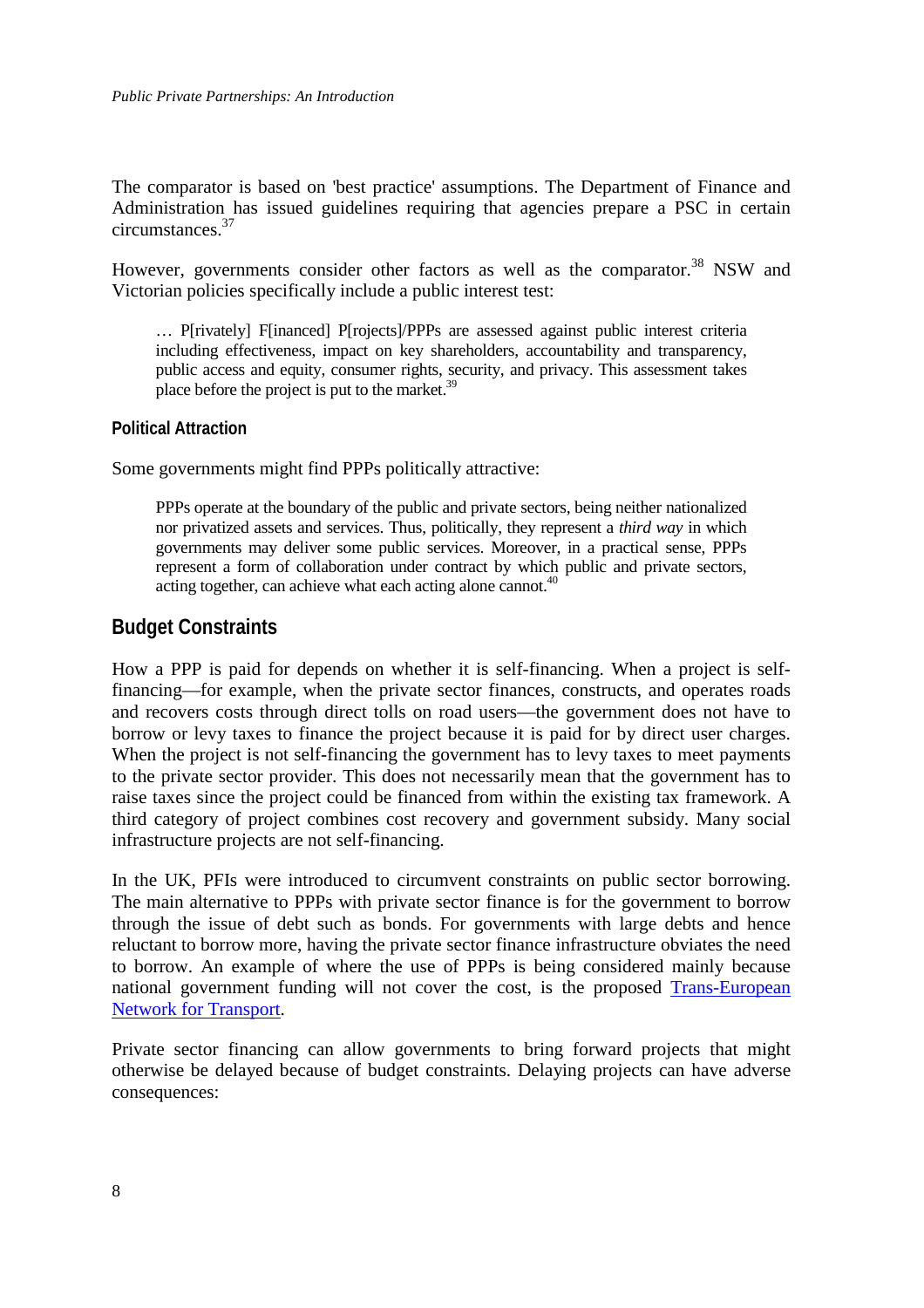<span id="page-15-0"></span>The comparator is based on 'best practice' assumptions. The Department of Finance and Administration has issued guidelines requiring that agencies prepare a PSC in certain circumstances.[37](#page-35-0)

However, governments consider other factors as well as the comparator.<sup>38</sup> NSW and Victorian policies specifically include a public interest test:

… P[rivately] F[inanced] P[rojects]/PPPs are assessed against public interest criteria including effectiveness, impact on key shareholders, accountability and transparency, public access and equity, consumer rights, security, and privacy. This assessment takes place before the project is put to the market.<sup>[39](#page-35-0)</sup>

### **Political Attraction**

Some governments might find PPPs politically attractive:

PPPs operate at the boundary of the public and private sectors, being neither nationalized nor privatized assets and services. Thus, politically, they represent a *third way* in which governments may deliver some public services. Moreover, in a practical sense, PPPs represent a form of collaboration under contract by which public and private sectors, acting together, can achieve what each acting alone cannot.<sup>[40](#page-35-0)</sup>

### **Budget Constraints**

How a PPP is paid for depends on whether it is self-financing. When a project is selffinancing—for example, when the private sector finances, constructs, and operates roads and recovers costs through direct tolls on road users—the government does not have to borrow or levy taxes to finance the project because it is paid for by direct user charges. When the project is not self-financing the government has to levy taxes to meet payments to the private sector provider. This does not necessarily mean that the government has to raise taxes since the project could be financed from within the existing tax framework. A third category of project combines cost recovery and government subsidy. Many social infrastructure projects are not self-financing.

In the UK, PFIs were introduced to circumvent constraints on public sector borrowing. The main alternative to PPPs with private sector finance is for the government to borrow through the issue of debt such as bonds. For governments with large debts and hence reluctant to borrow more, having the private sector finance infrastructure obviates the need to borrow. An example of where the use of PPPs is being considered mainly because national government funding will not cover the cost, is the proposed [Trans-European](http://europa.eu.int/comm/transport/themes/network/english/hp-en/bfin/tn_6_en.html) [Network for Transport.](http://europa.eu.int/comm/transport/themes/network/english/hp-en/bfin/tn_6_en.html)

Private sector financing can allow governments to bring forward projects that might otherwise be delayed because of budget constraints. Delaying projects can have adverse consequences: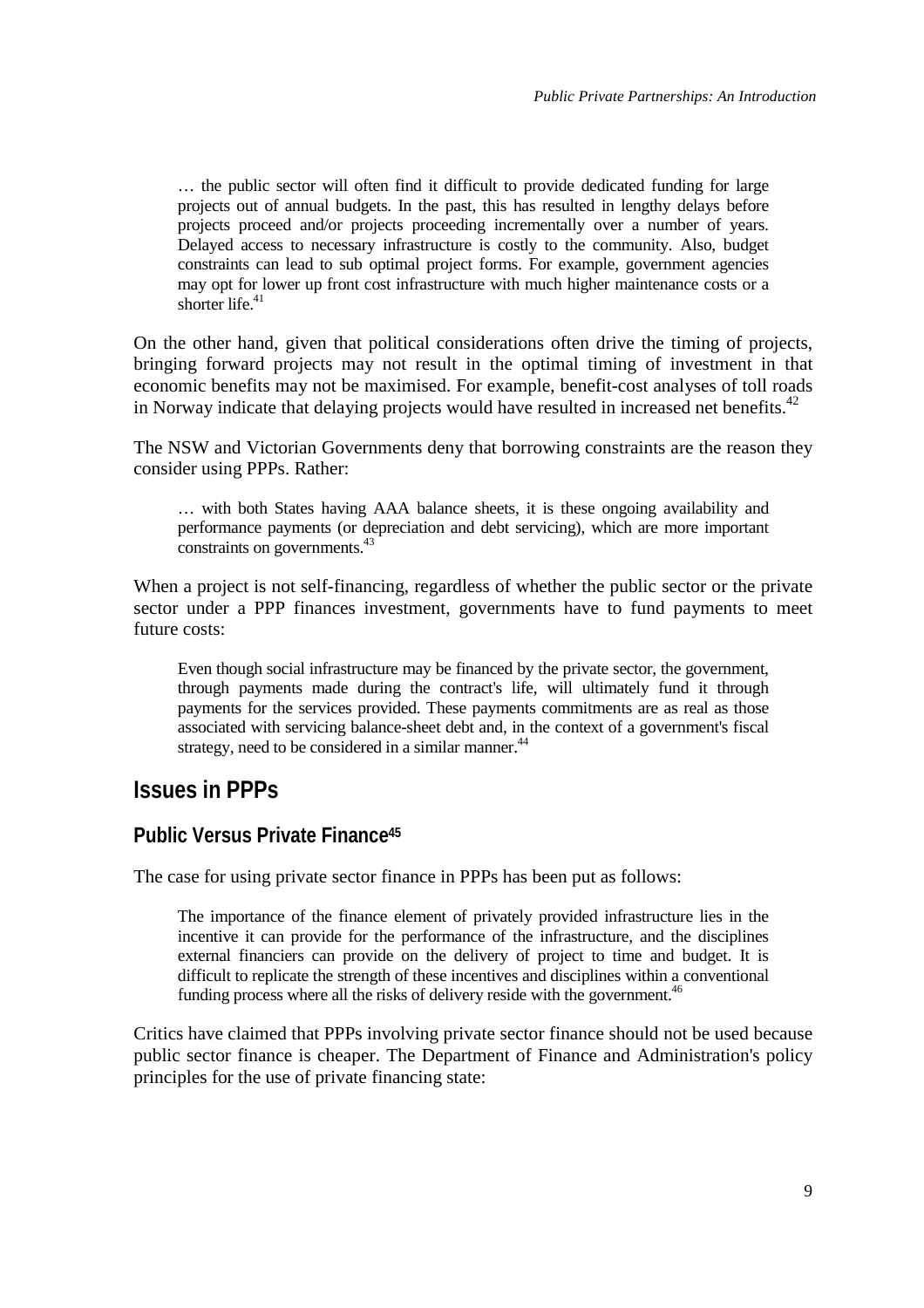<span id="page-16-0"></span>… the public sector will often find it difficult to provide dedicated funding for large projects out of annual budgets. In the past, this has resulted in lengthy delays before projects proceed and/or projects proceeding incrementally over a number of years. Delayed access to necessary infrastructure is costly to the community. Also, budget constraints can lead to sub optimal project forms. For example, government agencies may opt for lower up front cost infrastructure with much higher maintenance costs or a shorter life. $41$ 

On the other hand, given that political considerations often drive the timing of projects, bringing forward projects may not result in the optimal timing of investment in that economic benefits may not be maximised. For example, benefit-cost analyses of toll roads in Norway indicate that delaying projects would have resulted in increased net benefits.<sup>[42](#page-35-0)</sup>

The NSW and Victorian Governments deny that borrowing constraints are the reason they consider using PPPs. Rather:

… with both States having AAA balance sheets, it is these ongoing availability and performance payments (or depreciation and debt servicing), which are more important constraints on governments.<sup>[43](#page-35-0)</sup>

When a project is not self-financing, regardless of whether the public sector or the private sector under a PPP finances investment, governments have to fund payments to meet future costs:

Even though social infrastructure may be financed by the private sector, the government, through payments made during the contract's life, will ultimately fund it through payments for the services provided. These payments commitments are as real as those associated with servicing balance-sheet debt and, i[n t](#page-35-0)he context of a government's fiscal strategy, need to be considered in a similar manner.<sup>44</sup>

## **Issues in PPPs**

### **Public Versus Private Financ[e45](#page-35-0)**

The case for using private sector finance in PPPs has been put as follows:

The importance of the finance element of privately provided infrastructure lies in the incentive it can provide for the performance of the infrastructure, and the disciplines external financiers can provide on the delivery of project to time and budget. It is difficult to replicate the strength of these incentives and disciplines within a conventional funding process where all the risks of delivery reside with the government.<sup>[46](#page-35-0)</sup>

Critics have claimed that PPPs involving private sector finance should not be used because public sector finance is cheaper. The Department of Finance and Administration's policy principles for the use of private financing state: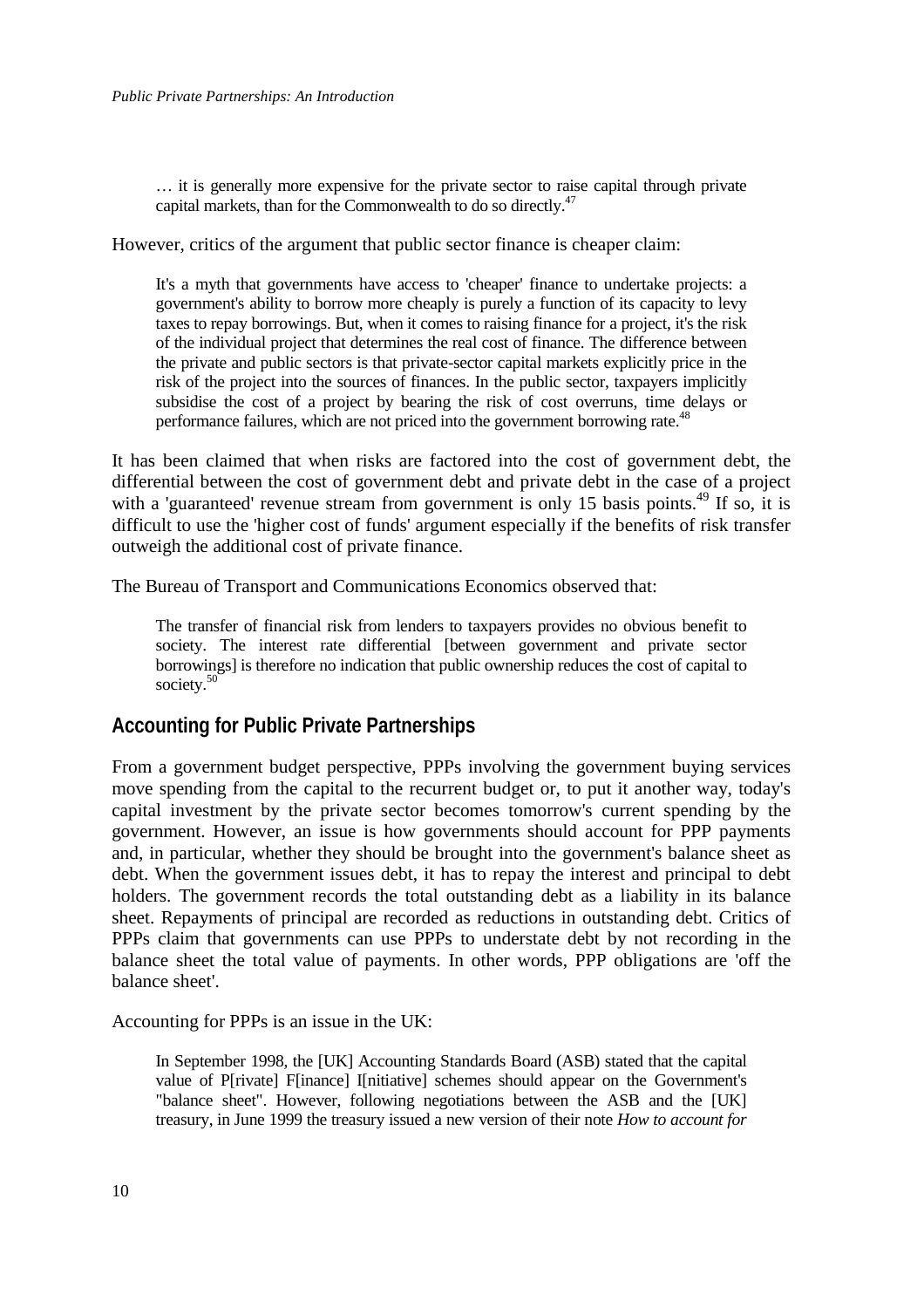<span id="page-17-0"></span>… it is generally more expensive for the private sector to raise capital through private capital markets, than for the Commonwealth to do so directly.<sup>[47](#page-35-0)</sup>

However, critics of the argument that public sector finance is cheaper claim:

It's a myth that governments have access to 'cheaper' finance to undertake projects: a government's ability to borrow more cheaply is purely a function of its capacity to levy taxes to repay borrowings. But, when it comes to raising finance for a project, it's the risk of the individual project that determines the real cost of finance. The difference between the private and public sectors is that private-sector capital markets explicitly price in the risk of the project into the sources of finances. In the public sector, taxpayers implicitly subsidise the cost of a project by bearing the risk of cost overruns, time delays or performance failures, which are not priced into the government borrowing rate.<sup>[48](#page-35-0)</sup>

It has been claimed that when risks are factored into the cost of government debt, the differential between the cost of government debt and private debt in the case of a project with a 'guaranteed' revenue stream from government is only 15 basis points.<sup>49</sup> If so, it is difficult to use the 'higher cost of funds' argument especially if the benefits of risk transfer outweigh the additional cost of private finance.

The Bureau of Transport and Communications Economics observed that:

The transfer of financial risk from lenders to taxpayers provides no obvious benefit to society. The interest rate differential [between government and private sector borrowings] is therefore no indication that public ownership reduces the cost of capital to society.<sup>50</sup>

### **Accounting for Public Private Partnerships**

From a government budget perspective, PPPs involving the government buying services move spending from the capital to the recurrent budget or, to put it another way, today's capital investment by the private sector becomes tomorrow's current spending by the government. However, an issue is how governments should account for PPP payments and, in particular, whether they should be brought into the government's balance sheet as debt. When the government issues debt, it has to repay the interest and principal to debt holders. The government records the total outstanding debt as a liability in its balance sheet. Repayments of principal are recorded as reductions in outstanding debt. Critics of PPPs claim that governments can use PPPs to understate debt by not recording in the balance sheet the total value of payments. In other words, PPP obligations are 'off the balance sheet'.

Accounting for PPPs is an issue in the UK:

In September 1998, the [UK] Accounting Standards Board (ASB) stated that the capital value of P[rivate] F[inance] I[nitiative] schemes should appear on the Government's "balance sheet". However, following negotiations between the ASB and the [UK] treasury, in June 1999 the treasury issued a new version of their note *How to account for*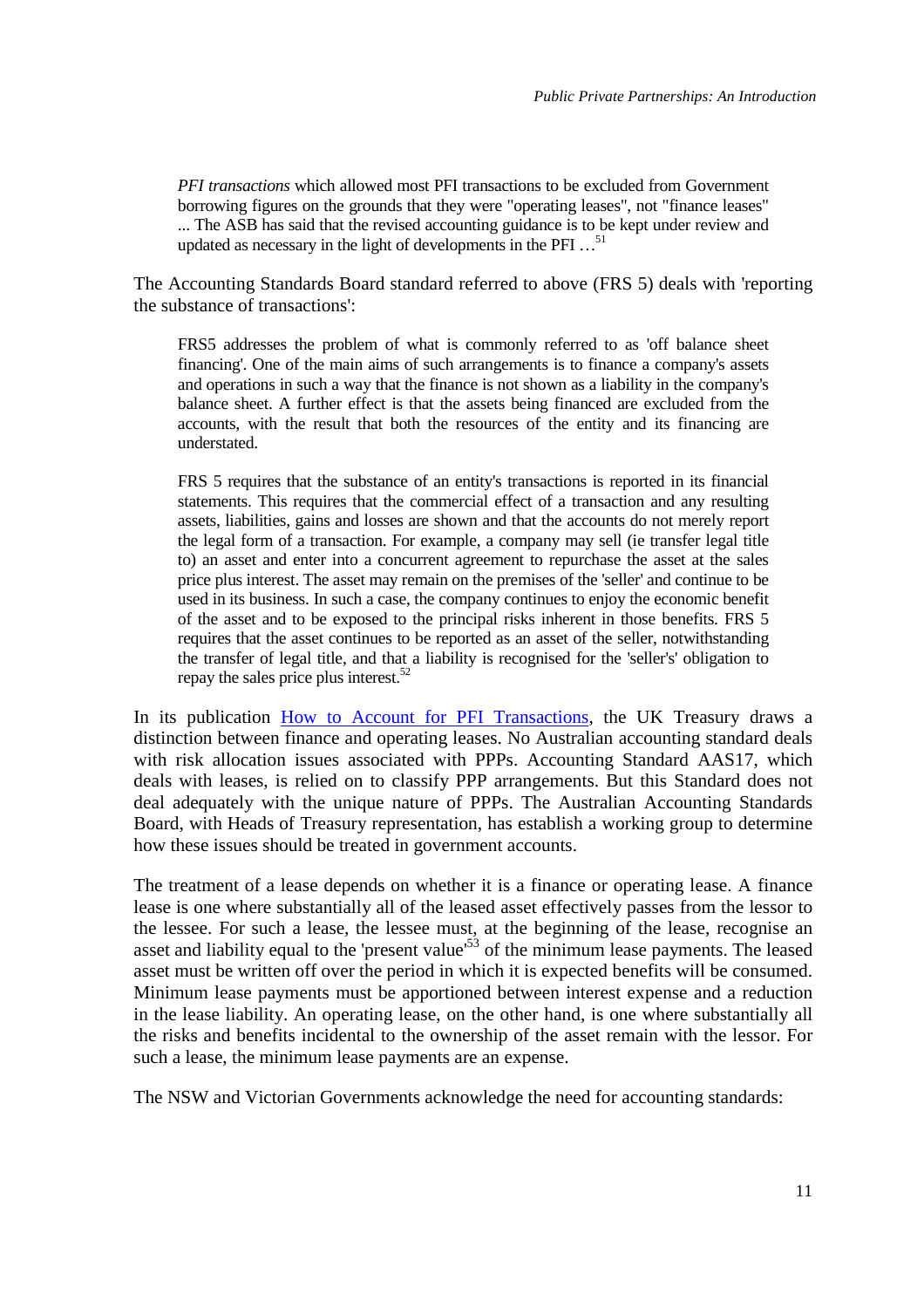*PFI transactions* which allowed most PFI transactions to be excluded from Government borrowing figures on the grounds that they were "operating leases", not "finance leases" ... The ASB has said that the revised accounting guidance is to be kept under review and updated as necessary in the light of developments in the PFI  $\dots$ <sup>[51](#page-35-0)</sup>

The Accounting Standards Board standard referred to above (FRS 5) deals with 'reporting the substance of transactions':

FRS5 addresses the problem of what is commonly referred to as 'off balance sheet financing'. One of the main aims of such arrangements is to finance a company's assets and operations in such a way that the finance is not shown as a liability in the company's balance sheet. A further effect is that the assets being financed are excluded from the accounts, with the result that both the resources of the entity and its financing are understated.

FRS 5 requires that the substance of an entity's transactions is reported in its financial statements. This requires that the commercial effect of a transaction and any resulting assets, liabilities, gains and losses are shown and that the accounts do not merely report the legal form of a transaction. For example, a company may sell (ie transfer legal title to) an asset and enter into a concurrent agreement to repurchase the asset at the sales price plus interest. The asset may remain on the premises of the 'seller' and continue to be used in its business. In such a case, the company continues to enjoy the economic benefit of the asset and to be exposed to the principal risks inherent in those benefits. FRS 5 requires that the asset continues to be reported as an asset of the seller, notwithstanding the transfer of legal title, and that a liability is recognised for the 'seller's' obligation to repay the sales price plus interest. $52$ 

In its publication [How to Account for PFI Transactions,](http://www.ogc.gov.uk/pfi/series_3/technote/tech_contents.htm) the UK Treasury draws a distinction between finance and operating leases. No Australian accounting standard deals with risk allocation issues associated with PPPs. Accounting Standard AAS17, which deals with leases, is relied on to classify PPP arrangements. But this Standard does not deal adequately with the unique nature of PPPs. The Australian Accounting Standards Board, with Heads of Treasury representation, has establish a working group to determine how these issues should be treated in government accounts.

The treatment of a lease depends on whether it is a finance or operating lease. A finance lease is one where substantially all of the leased asset effectively passes from the lessor to the lessee. For such a lease, the lessee must, at the beginning of the lease, recognise an asset and liability equal to the 'present value'<sup>53</sup> of the minimum lease payments. The leased asset must be written off over the period in which it is expected benefits will be consumed. Minimum lease payments must be apportioned between interest expense and a reduction in the lease liability. An operating lease, on the other hand, is one where substantially all the risks and benefits incidental to the ownership of the asset remain with the lessor. For such a lease, the minimum lease payments are an expense.

The NSW and Victorian Governments acknowledge the need for accounting standards: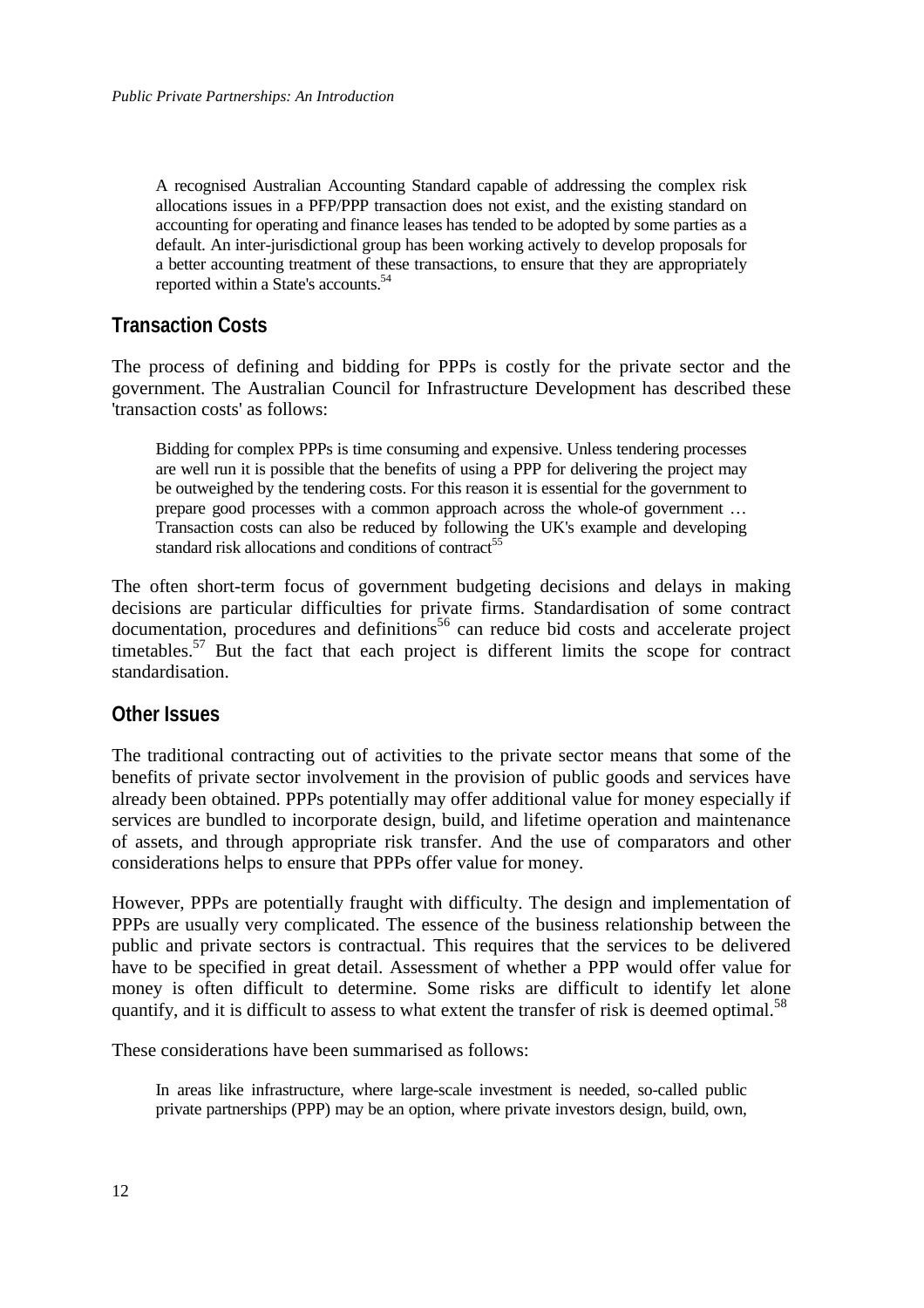<span id="page-19-0"></span>A recognised Australian Accounting Standard capable of addressing the complex risk allocations issues in a PFP/PPP transaction does not exist, and the existing standard on accounting for operating and finance leases has tended to be adopted by some parties as a default. An inter-jurisdictional group has been working actively to develop proposals for a better accounting treatment of t[hes](#page-35-0)e transactions, to ensure that they are appropriately reported within a State's accounts.<sup>54</sup>

## **Transaction Costs**

The process of defining and bidding for PPPs is costly for the private sector and the government. The Australian Council for Infrastructure Development has described these 'transaction costs' as follows:

Bidding for complex PPPs is time consuming and expensive. Unless tendering processes are well run it is possible that the benefits of using a PPP for delivering the project may be outweighed by the tendering costs. For this reason it is essential for the government to prepare good processes with a common approach across the whole-of government … Transaction costs can also be reduced by following the UK's example and developing standard risk allocations and conditions of contract<sup>[55](#page-35-0)</sup>

The often short-term focus of government budgeting decisions and delays in making decisions are particular difficulties for private firms. Standardisation of some contract  $d$  documentation, procedures and definitions<sup>56</sup> can reduce bid costs and accelerate project timetables.<sup>57</sup> But the fact that each project is different limits the scope for contract standardisation.

### **Other Issues**

The traditional contracting out of activities to the private sector means that some of the benefits of private sector involvement in the provision of public goods and services have already been obtained. PPPs potentially may offer additional value for money especially if services are bundled to incorporate design, build, and lifetime operation and maintenance of assets, and through appropriate risk transfer. And the use of comparators and other considerations helps to ensure that PPPs offer value for money.

However, PPPs are potentially fraught with difficulty. The design and implementation of PPPs are usually very complicated. The essence of the business relationship between the public and private sectors is contractual. This requires that the services to be delivered have to be specified in great detail. Assessment of whether a PPP would offer value for money is often difficult to determine. Some risks are difficult to identify let alone quantify, and it is difficult to assess to what extent the transfer of risk is deemed optimal.<sup>[58](#page-35-0)</sup>

These considerations have been summarised as follows:

In areas like infrastructure, where large-scale investment is needed, so-called public private partnerships (PPP) may be an option, where private investors design, build, own,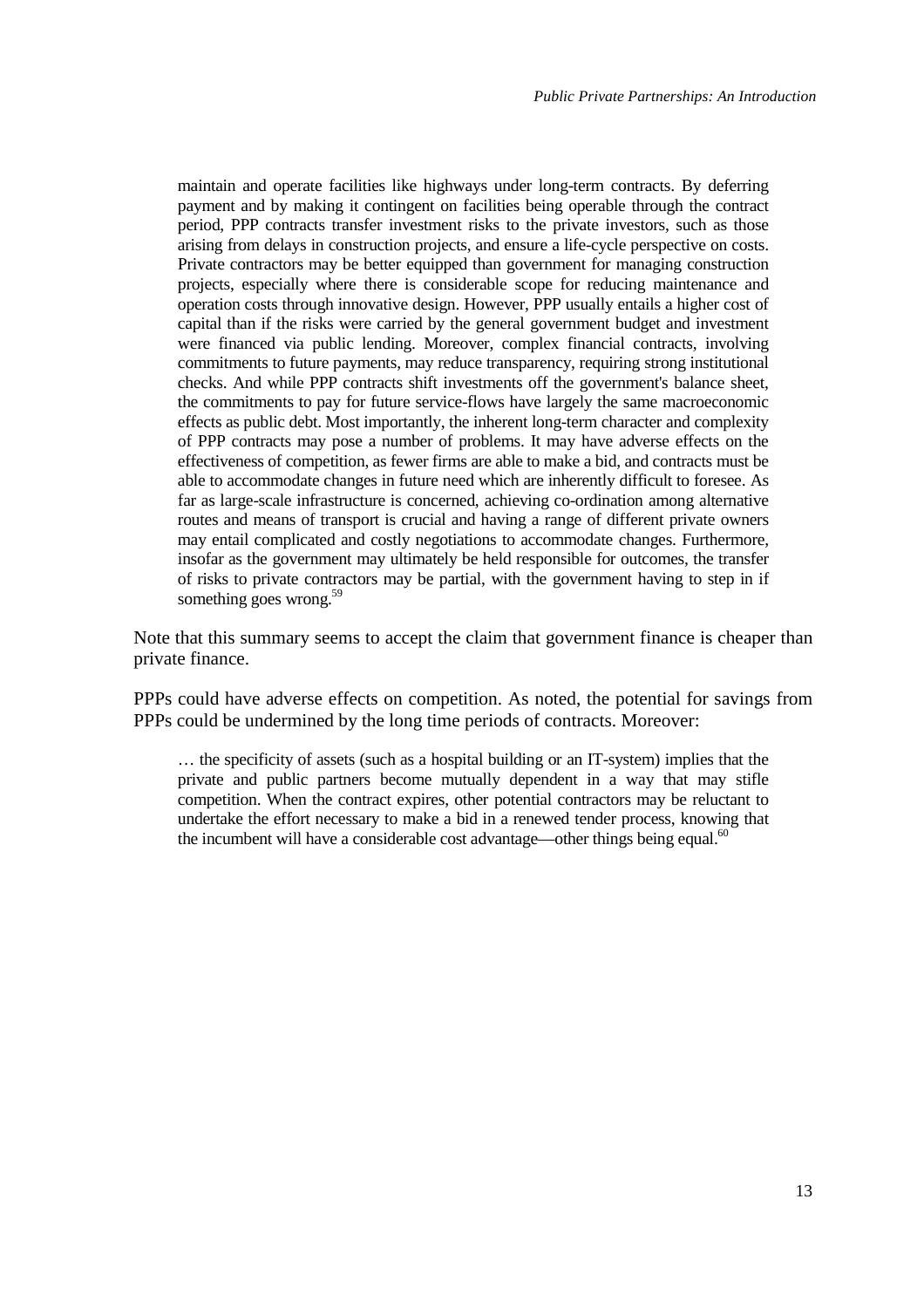maintain and operate facilities like highways under long-term contracts. By deferring payment and by making it contingent on facilities being operable through the contract period, PPP contracts transfer investment risks to the private investors, such as those arising from delays in construction projects, and ensure a life-cycle perspective on costs. Private contractors may be better equipped than government for managing construction projects, especially where there is considerable scope for reducing maintenance and operation costs through innovative design. However, PPP usually entails a higher cost of capital than if the risks were carried by the general government budget and investment were financed via public lending. Moreover, complex financial contracts, involving commitments to future payments, may reduce transparency, requiring strong institutional checks. And while PPP contracts shift investments off the government's balance sheet, the commitments to pay for future service-flows have largely the same macroeconomic effects as public debt. Most importantly, the inherent long-term character and complexity of PPP contracts may pose a number of problems. It may have adverse effects on the effectiveness of competition, as fewer firms are able to make a bid, and contracts must be able to accommodate changes in future need which are inherently difficult to foresee. As far as large-scale infrastructure is concerned, achieving co-ordination among alternative routes and means of transport is crucial and having a range of different private owners may entail complicated and costly negotiations to accommodate changes. Furthermore, insofar as the government may ultimately be held responsible for outcomes, the transfer of risks to private contractors may be partial, with the government having to step in if something goes wrong.<sup>[59](#page-35-0)</sup>

Note that this summary seems to accept the claim that government finance is cheaper than private finance.

PPPs could have adverse effects on competition. As noted, the potential for savings from PPPs could be undermined by the long time periods of contracts. Moreover:

… the specificity of assets (such as a hospital building or an IT-system) implies that the private and public partners become mutually dependent in a way that may stifle competition. When the contract expires, other potential contractors may be reluctant to undertake the effort necessary to make a bid in a renewed tender process, knowing that the incumbent will have a considerable cost advantage—other things being equal. $^{60}$  $^{60}$  $^{60}$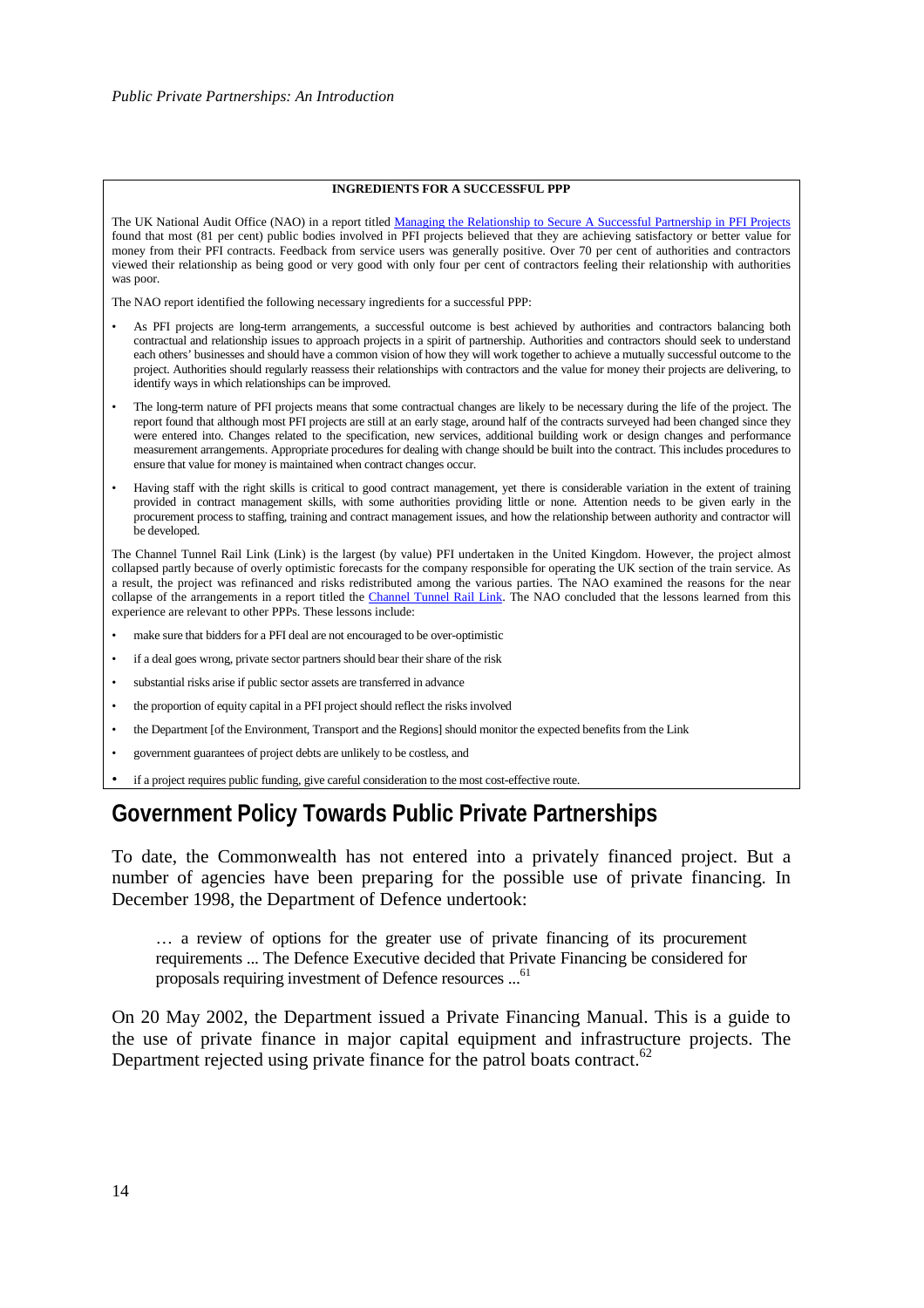#### **INGREDIENTS FOR A SUCCESSFUL PPP**

<span id="page-21-0"></span>The UK National Audit Office (NAO) in a report title[d Managing the Relationship to Secure A Successful Partnership in PFI Projects](http://www.nao.gov.uk/publications/nao_reports/01-02/0102375.pdf) found that most (81 per cent) public bodies involved in PFI projects believed that they are achieving satisfactory or better value for money from their PFI contracts. Feedback from service users was generally positive. Over 70 per cent of authorities and contractors viewed their relationship as being good or very good with only four per cent of contractors feeling their relationship with authorities was poor.

The NAO report identified the following necessary ingredients for a successful PPP:

- As PFI projects are long-term arrangements, a successful outcome is best achieved by authorities and contractors balancing both contractual and relationship issues to approach projects in a spirit of partnership. Authorities and contractors should seek to understand each others' businesses and should have a common vision of how they will work together to achieve a mutually successful outcome to the project. Authorities should regularly reassess their relationships with contractors and the value for money their projects are delivering, to identify ways in which relationships can be improved.
- The long-term nature of PFI projects means that some contractual changes are likely to be necessary during the life of the project. The report found that although most PFI projects are still at an early stage, around half of the contracts surveyed had been changed since they were entered into. Changes related to the specification, new services, additional building work or design changes and performance measurement arrangements. Appropriate procedures for dealing with change should be built into the contract. This includes procedures to ensure that value for money is maintained when contract changes occur.
- Having staff with the right skills is critical to good contract management, yet there is considerable variation in the extent of training provided in contract management skills, with some authorities providing little or none. Attention needs to be given early in the procurement process to staffing, training and contract management issues, and how the relationship between authority and contractor will be developed.

The Channel Tunnel Rail Link (Link) is the largest (by value) PFI undertaken in the United Kingdom. However, the project almost collapsed partly because of overly optimistic forecasts for the company responsible for operating the UK section of the train service. As a result, the project was refinanced and risks redistributed among the various parties. The NAO examined the reasons for the near collapse of the arrangements in a report titled the [Channel Tunnel Rail Link.](http://www.nao.gov.uk/publications/nao_reports/00-01/0001302.pdf) The NAO concluded that the lessons learned from this experience are relevant to other PPPs. These lessons include:

- make sure that bidders for a PFI deal are not encouraged to be over-optimistic
- if a deal goes wrong, private sector partners should bear their share of the risk
- substantial risks arise if public sector assets are transferred in advance
- the proportion of equity capital in a PFI project should reflect the risks involved
- the Department [of the Environment, Transport and the Regions] should monitor the expected benefits from the Link
- government guarantees of project debts are unlikely to be costless, and
- if a project requires public funding, give careful consideration to the most cost-effective route.

## **Government Policy Towards Public Private Partnerships**

To date, the Commonwealth has not entered into a privately financed project. But a number of agencies have been preparing for the possible use of private financing. In December 1998, the Department of Defence undertook:

… a review of options for the greater use of private financing of its procurement requirements ... The Defence Executive decided that Private Financing be considered for proposals requiring investment of Defence resources ...<sup>[61](#page-35-0)</sup>

On 20 May 2002, the Department issued a Private Financing Manual. This is a guide to the use of private finance in major capital equipment and infrastructure projects. The Department rejected using private finance for the patrol boats contract.<sup>[62](#page-35-0)</sup>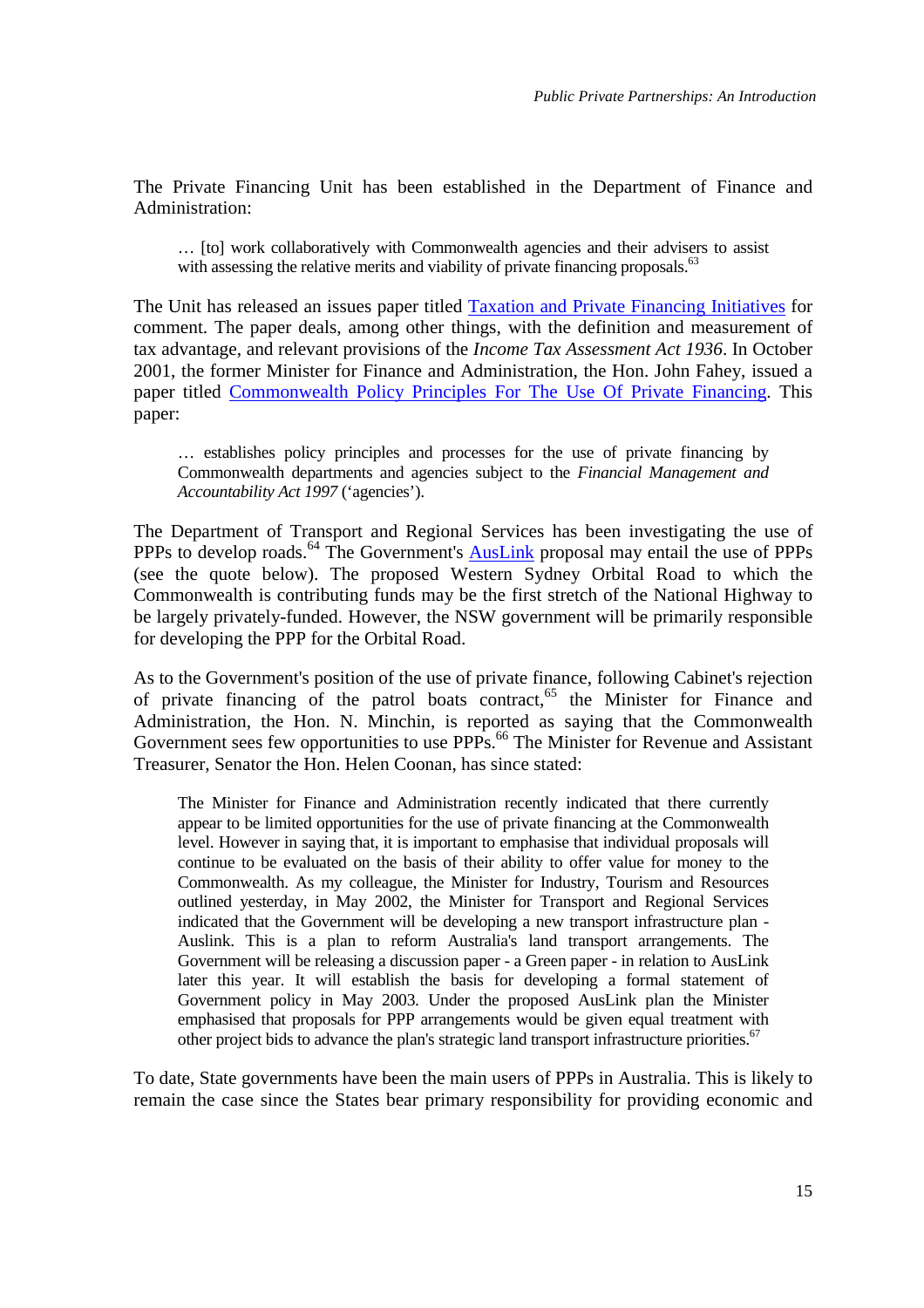The Private Financing Unit has been established in the Department of Finance and Administration:

… [to] work collaboratively with Commonwealth agencies and their advisers to assist with assessing the relative merits and viability of private financing proposals.<sup>[63](#page-35-0)</sup>

The Unit has released an issues paper titled [Taxation and Private Financing Initiatives](http://www.finance.gov.au/budgetgroup/docs/Taxation_and_private_financing_initiatives-Final.pdf) for comment. The paper deals, among other things, with the definition and measurement of tax advantage, and relevant provisions of the *Income Tax Assessment Act 1936*. In October 2001, the former Minister for Finance and Administration, the Hon. John Fahey, issued a paper titled [Commonwealth Policy Principles For The Use Of Private Financing.](http://www.finance.gov.au/budgetgroup/docs/Commonwealth_PF_Principles_October_2001.pdf) This paper:

… establishes policy principles and processes for the use of private financing by Commonwealth departments and agencies subject to the *Financial Management and Accountability Act 1997* ('agencies').

The Department of Transport and Regional Services has been investigating the use of PPPs to develop roads.<sup>64</sup> The Government's **AusLink** proposal may entail the use of PPPs (see the quote below). The proposed Western Sydney Orbital Road to which the Commonwealth is contributing funds may be the first stretch of the National Highway to be largely privately-funded. However, the NSW government will be primarily responsible for developing the PPP for the Orbital Road.

As to the Government's position of the use of private finance, following Cabinet's rejection of private financing of the patrol boats contract,<sup>65</sup> the Minister for Finance and Administration, the Hon. N. Minchin, is reported as saying that the Commonwealth Government sees few opportunities to use PPPs.<sup>66</sup> The Minister for Revenue and Assistant Treasurer, Senator the Hon. Helen Coonan, has since stated:

The Minister for Finance and Administration recently indicated that there currently appear to be limited opportunities for the use of private financing at the Commonwealth level. However in saying that, it is important to emphasise that individual proposals will continue to be evaluated on the basis of their ability to offer value for money to the Commonwealth. As my colleague, the Minister for Industry, Tourism and Resources outlined yesterday, in May 2002, the Minister for Transport and Regional Services indicated that the Government will be developing a new transport infrastructure plan - Auslink. This is a plan to reform Australia's land transport arrangements. The Government will be releasing a discussion paper - a Green paper - in relation to AusLink later this year. It will establish the basis for developing a formal statement of Government policy in May 2003. Under the proposed AusLink plan the Minister emphasised that proposals for PPP arrangements would be given equal treatment [with](#page-35-0) other project bids to advance the plan's strategic land transport infrastructure priorities.<sup>67</sup>

To date, State governments have been the main users of PPPs in Australia. This is likely to remain the case since the States bear primary responsibility for providing economic and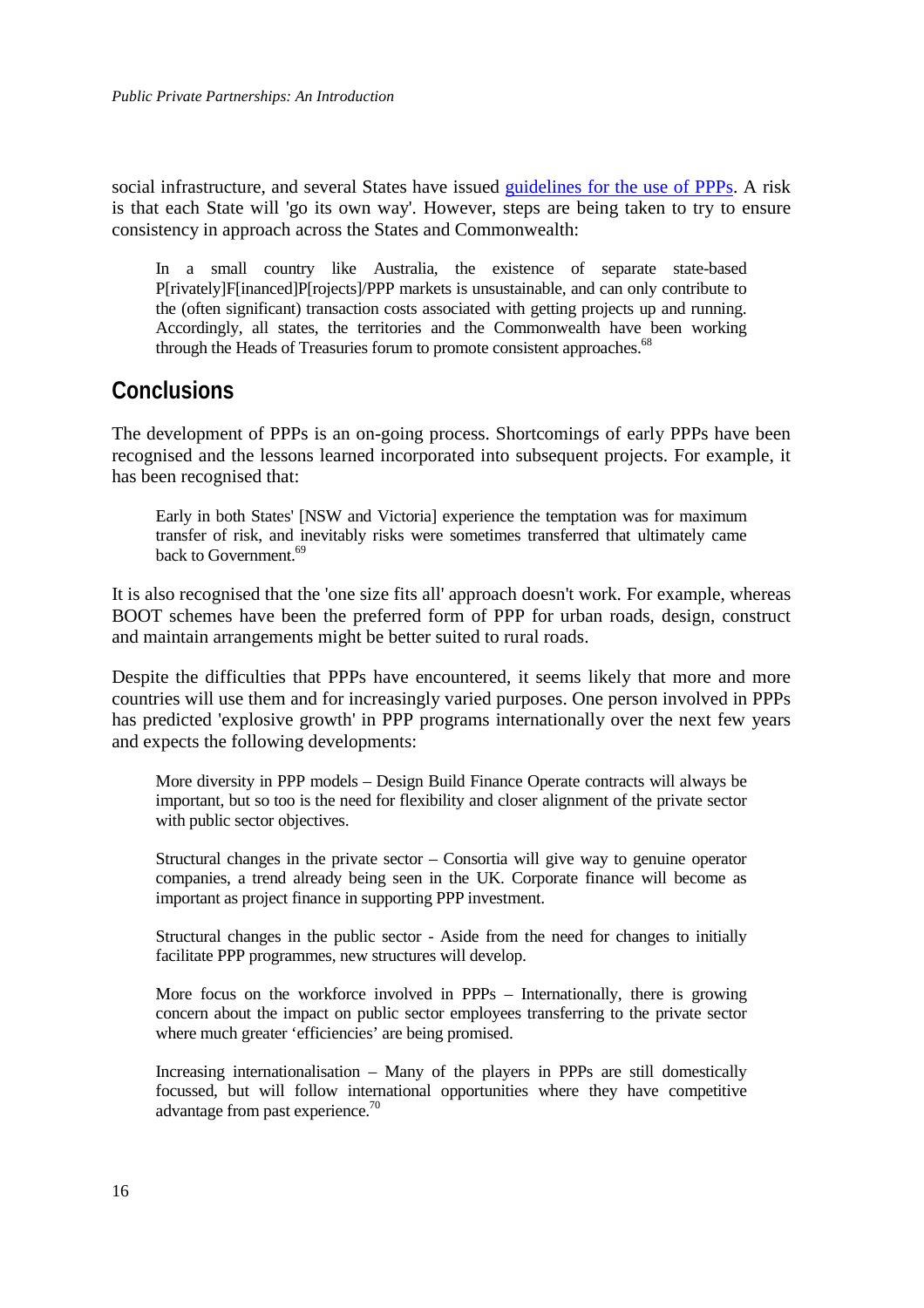<span id="page-23-0"></span>social infrastructure, and several States have issued [guidelines for the use of PPPs.](http://www.finance.gov.au/budgetgroup/commonwealth%5Fbudget%5F%2D%5Foverview/private%5Ffinancing%5Flinks.html#aust_state_gov_info) A risk is that each State will 'go its own way'. However, steps are being taken to try to ensure consistency in approach across the States and Commonwealth:

In a small country like Australia, the existence of separate state-based P[rivately]F[inanced]P[rojects]/PPP markets is unsustainable, and can only contribute to the (often significant) transaction costs associated with getting projects up and running. Accordingly, all states, the territories and the Commonwealth have been working through the Heads of Treasuries forum to promote consistent approaches.<sup>68</sup>

## **Conclusions**

The development of PPPs is an on-going process. Shortcomings of early PPPs have been recognised and the lessons learned incorporated into subsequent projects. For example, it has been recognised that:

Early in both States' [NSW and Victoria] experience the temptation was for maximum transfer of risk, and inevitably risks were sometimes transferred that ultimately came back to Government.<sup>[69](#page-35-0)</sup>

It is also recognised that the 'one size fits all' approach doesn't work. For example, whereas BOOT schemes have been the preferred form of PPP for urban roads, design, construct and maintain arrangements might be better suited to rural roads.

Despite the difficulties that PPPs have encountered, it seems likely that more and more countries will use them and for increasingly varied purposes. One person involved in PPPs has predicted 'explosive growth' in PPP programs internationally over the next few years and expects the following developments:

More diversity in PPP models – Design Build Finance Operate contracts will always be important, but so too is the need for flexibility and closer alignment of the private sector with public sector objectives.

Structural changes in the private sector – Consortia will give way to genuine operator companies, a trend already being seen in the UK. Corporate finance will become as important as project finance in supporting PPP investment.

Structural changes in the public sector - Aside from the need for changes to initially facilitate PPP programmes, new structures will develop.

More focus on the workforce involved in PPPs – Internationally, there is growing concern about the impact on public sector employees transferring to the private sector where much greater 'efficiencies' are being promised.

Increasing internationalisation – Many of the players in PPPs are still domestically focussed, but will follow international opportunities where they have competitive advantage from past experience.<sup>[70](#page-35-0)</sup>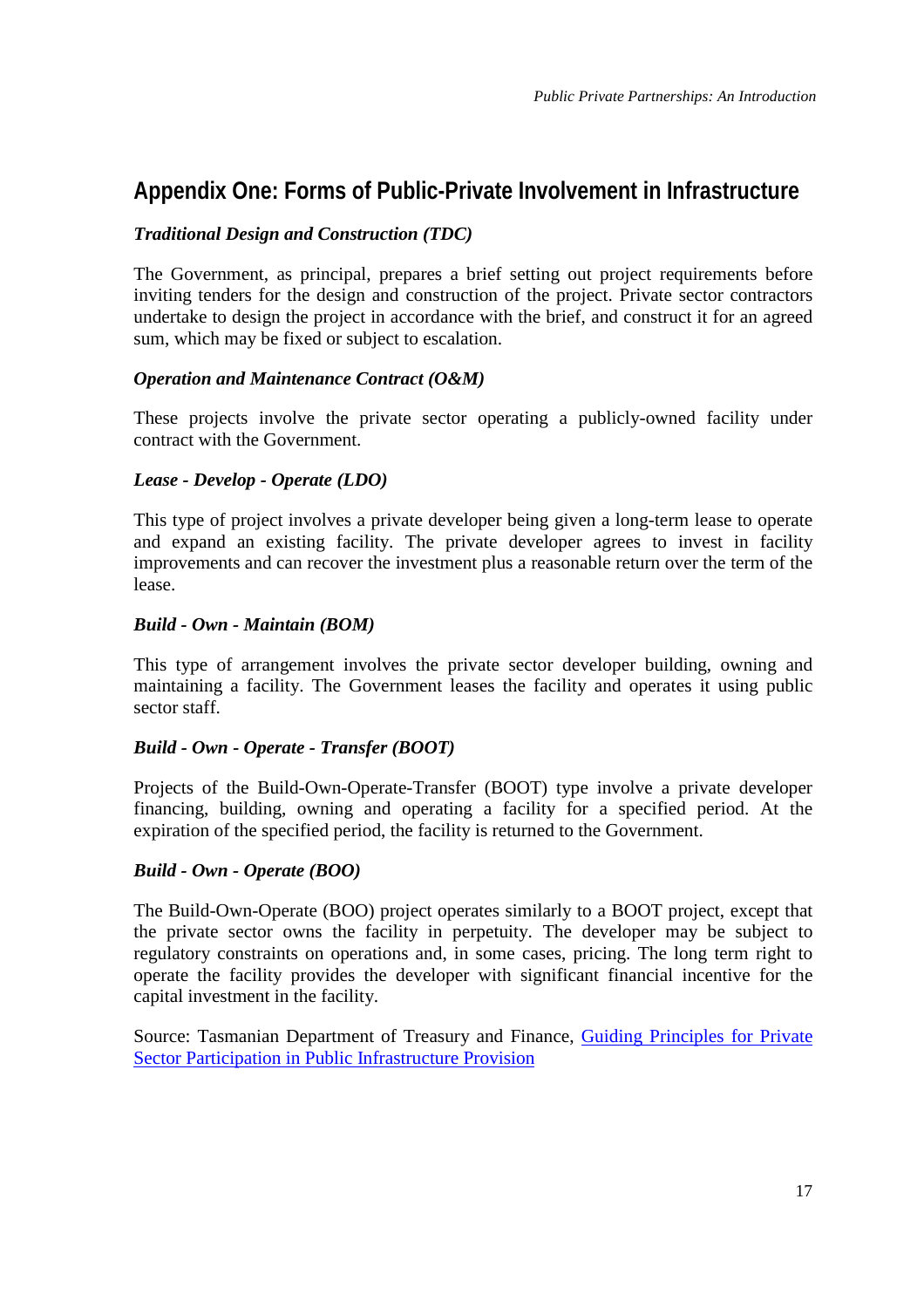## <span id="page-24-0"></span>**Appendix One: Forms of Public-Private Involvement in Infrastructure**

### *Traditional Design and Construction (TDC)*

The Government, as principal, prepares a brief setting out project requirements before inviting tenders for the design and construction of the project. Private sector contractors undertake to design the project in accordance with the brief, and construct it for an agreed sum, which may be fixed or subject to escalation.

### *Operation and Maintenance Contract (O&M)*

These projects involve the private sector operating a publicly-owned facility under contract with the Government.

### *Lease - Develop - Operate (LDO)*

This type of project involves a private developer being given a long-term lease to operate and expand an existing facility. The private developer agrees to invest in facility improvements and can recover the investment plus a reasonable return over the term of the lease.

### *Build - Own - Maintain (BOM)*

This type of arrangement involves the private sector developer building, owning and maintaining a facility. The Government leases the facility and operates it using public sector staff.

### *Build - Own - Operate - Transfer (BOOT)*

Projects of the Build-Own-Operate-Transfer (BOOT) type involve a private developer financing, building, owning and operating a facility for a specified period. At the expiration of the specified period, the facility is returned to the Government.

### *Build - Own - Operate (BOO)*

The Build-Own-Operate (BOO) project operates similarly to a BOOT project, except that the private sector owns the facility in perpetuity. The developer may be subject to regulatory constraints on operations and, in some cases, pricing. The long term right to operate the facility provides the developer with significant financial incentive for the capital investment in the facility.

Source: Tasmanian Department of Treasury and Finance, [Guiding Principles for Private](http://db.purchasing.tas.gov.au/domino/buying.nsf/all-v/principles-private) [Sector Participation in Public Infrastructure Provision](http://db.purchasing.tas.gov.au/domino/buying.nsf/all-v/principles-private)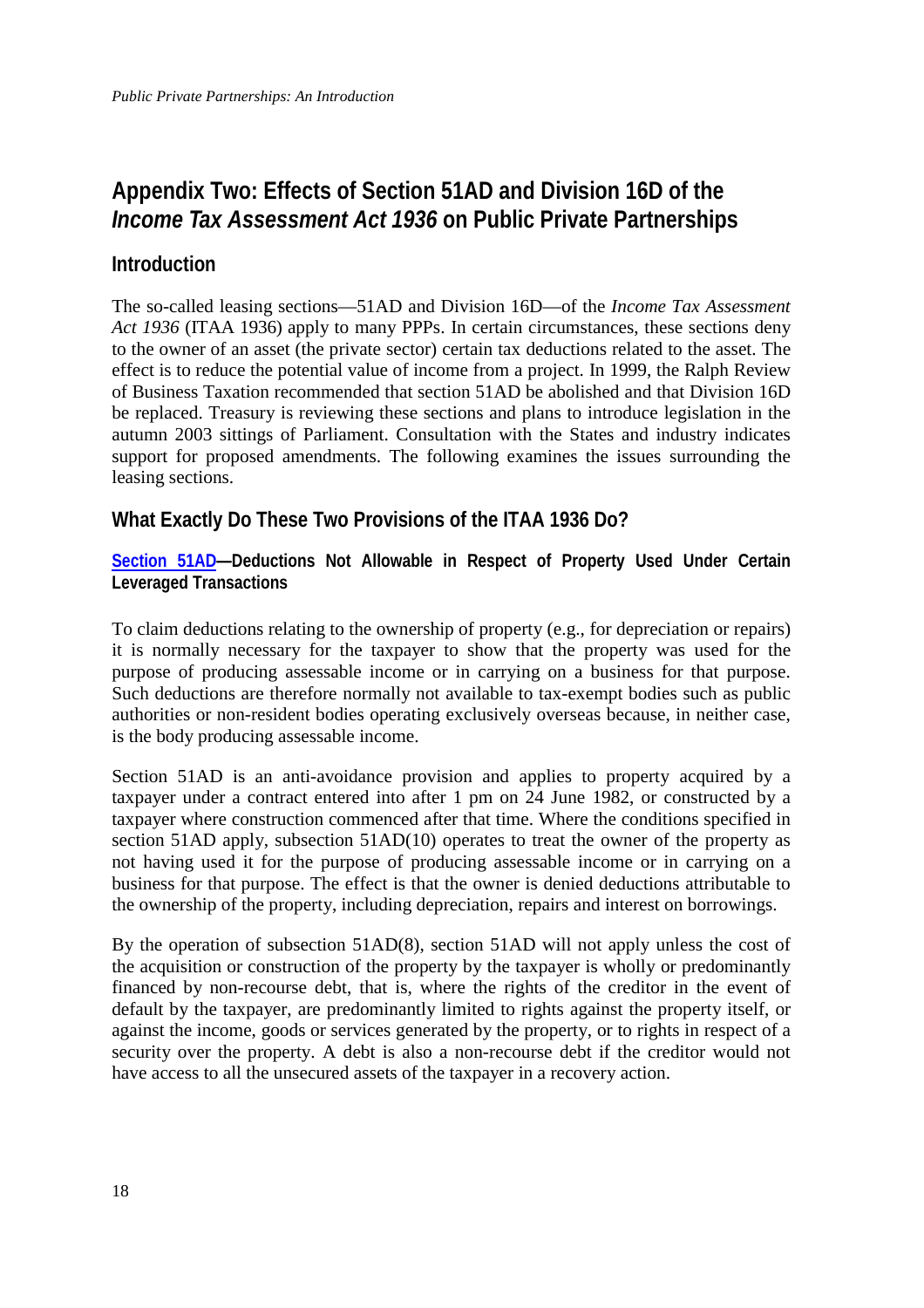## <span id="page-25-0"></span>**Appendix Two: Effects of Section 51AD and Division 16D of the** *Income Tax Assessment Act 1936* **on Public Private Partnerships**

### **Introduction**

The so-called leasing sections—51AD and Division 16D—of the *Income Tax Assessment Act 1936* (ITAA 1936) apply to many PPPs. In certain circumstances, these sections deny to the owner of an asset (the private sector) certain tax deductions related to the asset. The effect is to reduce the potential value of income from a project. In 1999, the Ralph Review of Business Taxation recommended that section 51AD be abolished and that Division 16D be replaced. Treasury is reviewing these sections and plans to introduce legislation in the autumn 2003 sittings of Parliament. Consultation with the States and industry indicates support for proposed amendments. The following examines the issues surrounding the leasing sections.

## **What Exactly Do These Two Provisions of the ITAA 1936 Do?**

**[Section 51AD—](http://law.ato.gov.au/atolaw/view.htm?basic=+51AD&&docid=PAC/19360027/51AD#HIT1)Deductions Not Allowable in Respect of Property Used Under Certain Leveraged Transactions**

To claim deductions relating to the ownership of property (e.g., for depreciation or repairs) it is normally necessary for the taxpayer to show that the property was used for the purpose of producing assessable income or in carrying on a business for that purpose. Such deductions are therefore normally not available to tax-exempt bodies such as public authorities or non-resident bodies operating exclusively overseas because, in neither case, is the body producing assessable income.

Section 51AD is an anti-avoidance provision and applies to property acquired by a taxpayer under a contract entered into after 1 pm on 24 June 1982, or constructed by a taxpayer where construction commenced after that time. Where the conditions specified in section 51AD apply, subsection 51AD(10) operates to treat the owner of the property as not having used it for the purpose of producing assessable income or in carrying on a business for that purpose. The effect is that the owner is denied deductions attributable to the ownership of the property, including depreciation, repairs and interest on borrowings.

By the operation of subsection 51AD(8), section 51AD will not apply unless the cost of the acquisition or construction of the property by the taxpayer is wholly or predominantly financed by non-recourse debt, that is, where the rights of the creditor in the event of default by the taxpayer, are predominantly limited to rights against the property itself, or against the income, goods or services generated by the property, or to rights in respect of a security over the property. A debt is also a non-recourse debt if the creditor would not have access to all the unsecured assets of the taxpayer in a recovery action.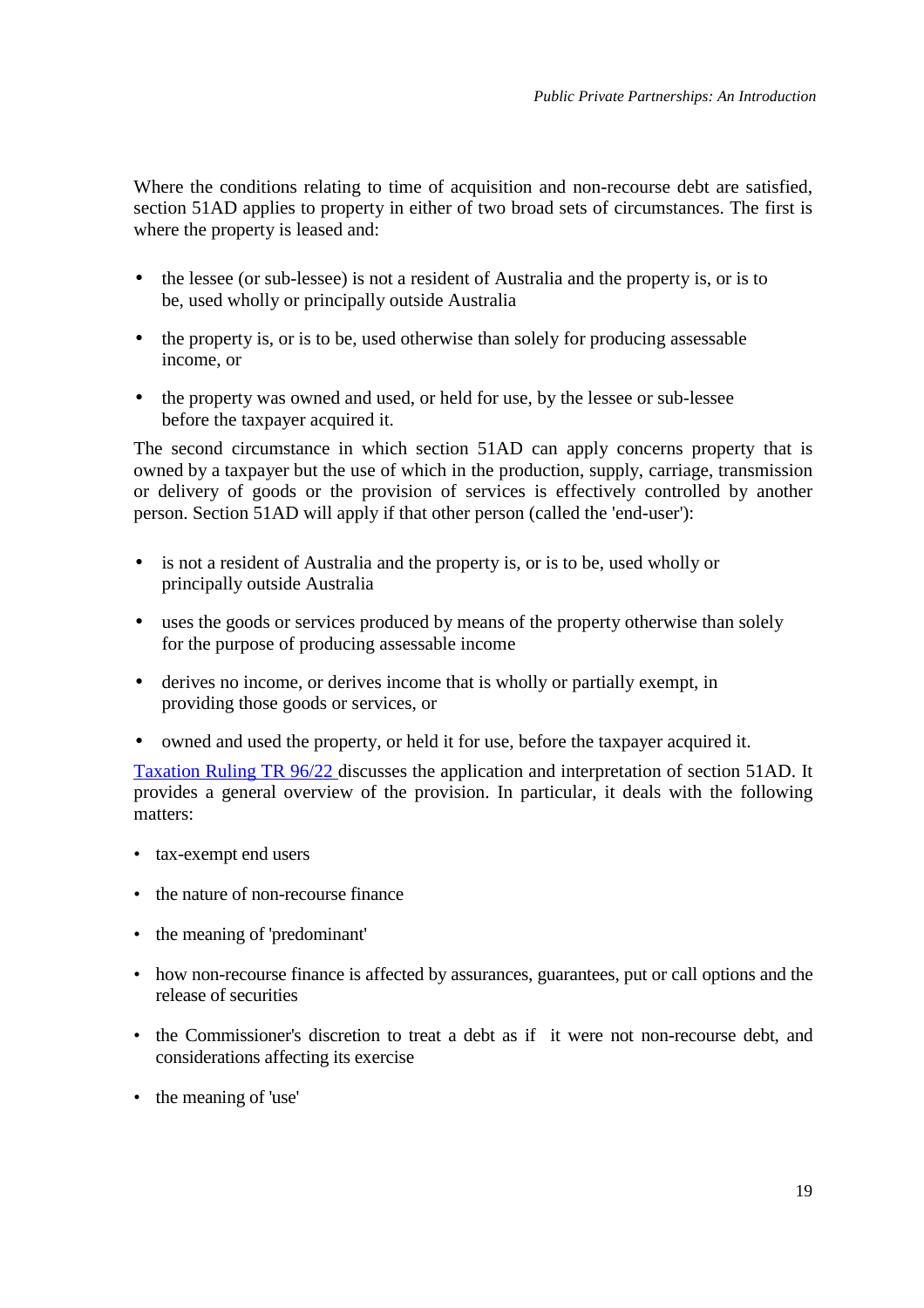Where the conditions relating to time of acquisition and non-recourse debt are satisfied, section 51AD applies to property in either of two broad sets of circumstances. The first is where the property is leased and:

- the lessee (or sub-lessee) is not a resident of Australia and the property is, or is to be, used wholly or principally outside Australia
- the property is, or is to be, used otherwise than solely for producing assessable income, or
- the property was owned and used, or held for use, by the lessee or sub-lessee before the taxpayer acquired it.

The second circumstance in which section 51AD can apply concerns property that is owned by a taxpayer but the use of which in the production, supply, carriage, transmission or delivery of goods or the provision of services is effectively controlled by another person. Section 51AD will apply if that other person (called the 'end-user'):

- is not a resident of Australia and the property is, or is to be, used wholly or principally outside Australia
- uses the goods or services produced by means of the property otherwise than solely for the purpose of producing assessable income
- derives no income, or derives income that is wholly or partially exempt, in providing those goods or services, or
- owned and used the property, or held it for use, before the taxpayer acquired it.

[Taxation Ruling TR 96/22](http://law.ato.gov.au/atolaw/view.htm?basic=+IT%202602&&docid=TXR/TR9622/NAT/ATO/00001) discusses the application and interpretation of section 51AD. It provides a general overview of the provision. In particular, it deals with the following matters:

- tax-exempt end users
- the nature of non-recourse finance
- the meaning of 'predominant'
- how non-recourse finance is affected by assurances, guarantees, put or call options and the release of securities
- the Commissioner's discretion to treat a debt as if it were not non-recourse debt, and considerations affecting its exercise
- the meaning of 'use'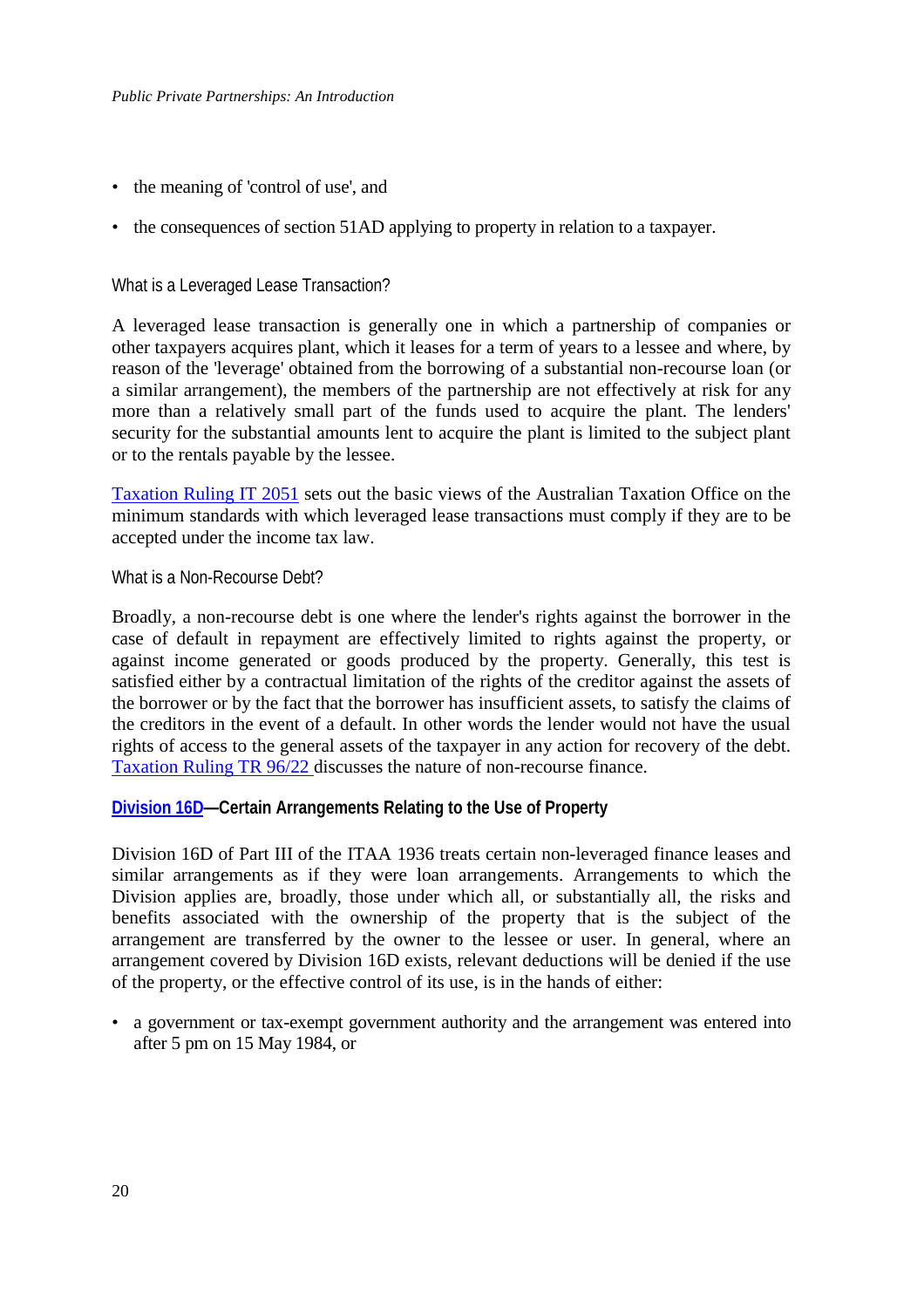- the meaning of 'control of use', and
- the consequences of section 51AD applying to property in relation to a taxpayer.

### What is a Leveraged Lease Transaction?

A leveraged lease transaction is generally one in which a partnership of companies or other taxpayers acquires plant, which it leases for a term of years to a lessee and where, by reason of the 'leverage' obtained from the borrowing of a substantial non-recourse loan (or a similar arrangement), the members of the partnership are not effectively at risk for any more than a relatively small part of the funds used to acquire the plant. The lenders' security for the substantial amounts lent to acquire the plant is limited to the subject plant or to the rentals payable by the lessee.

[Taxation Ruling IT 2051](http://law.ato.gov.au/atolaw/view.htm?basic=+IT%202051&&docid=ITR/IT2051/NAT/ATO/00001) sets out the basic views of the Australian Taxation Office on the minimum standards with which leveraged lease transactions must comply if they are to be accepted under the income tax law.

#### What is a Non-Recourse Debt?

Broadly, a non-recourse debt is one where the lender's rights against the borrower in the case of default in repayment are effectively limited to rights against the property, or against income generated or goods produced by the property. Generally, this test is satisfied either by a contractual limitation of the rights of the creditor against the assets of the borrower or by the fact that the borrower has insufficient assets, to satisfy the claims of the creditors in the event of a default. In other words the lender would not have the usual rights of access to the general assets of the taxpayer in any action for recovery of the debt. [Taxation Ruling TR 96/22 d](http://law.ato.gov.au/atolaw/view.htm?basic=+IT%202602&&docid=TXR/TR9622/NAT/ATO/00001)iscusses the nature of non-recourse finance.

#### **[Division 16D—](http://law.ato.gov.au/atolaw/browse.htm?toc=06:PLR:Taxation:INCOME%20TAX%20ASSESSMENT%20ACT%201936:PART%20III%20-%20LIABILITY%20TO%20TAXATION:Division%2016D%20-%20Certain%20arrangements%20relating%20to%20the%20use%20of%20property)Certain Arrangements Relating to the Use of Property**

Division 16D of Part III of the ITAA 1936 treats certain non-leveraged finance leases and similar arrangements as if they were loan arrangements. Arrangements to which the Division applies are, broadly, those under which all, or substantially all, the risks and benefits associated with the ownership of the property that is the subject of the arrangement are transferred by the owner to the lessee or user. In general, where an arrangement covered by Division 16D exists, relevant deductions will be denied if the use of the property, or the effective control of its use, is in the hands of either:

• a government or tax-exempt government authority and the arrangement was entered into after 5 pm on 15 May 1984, or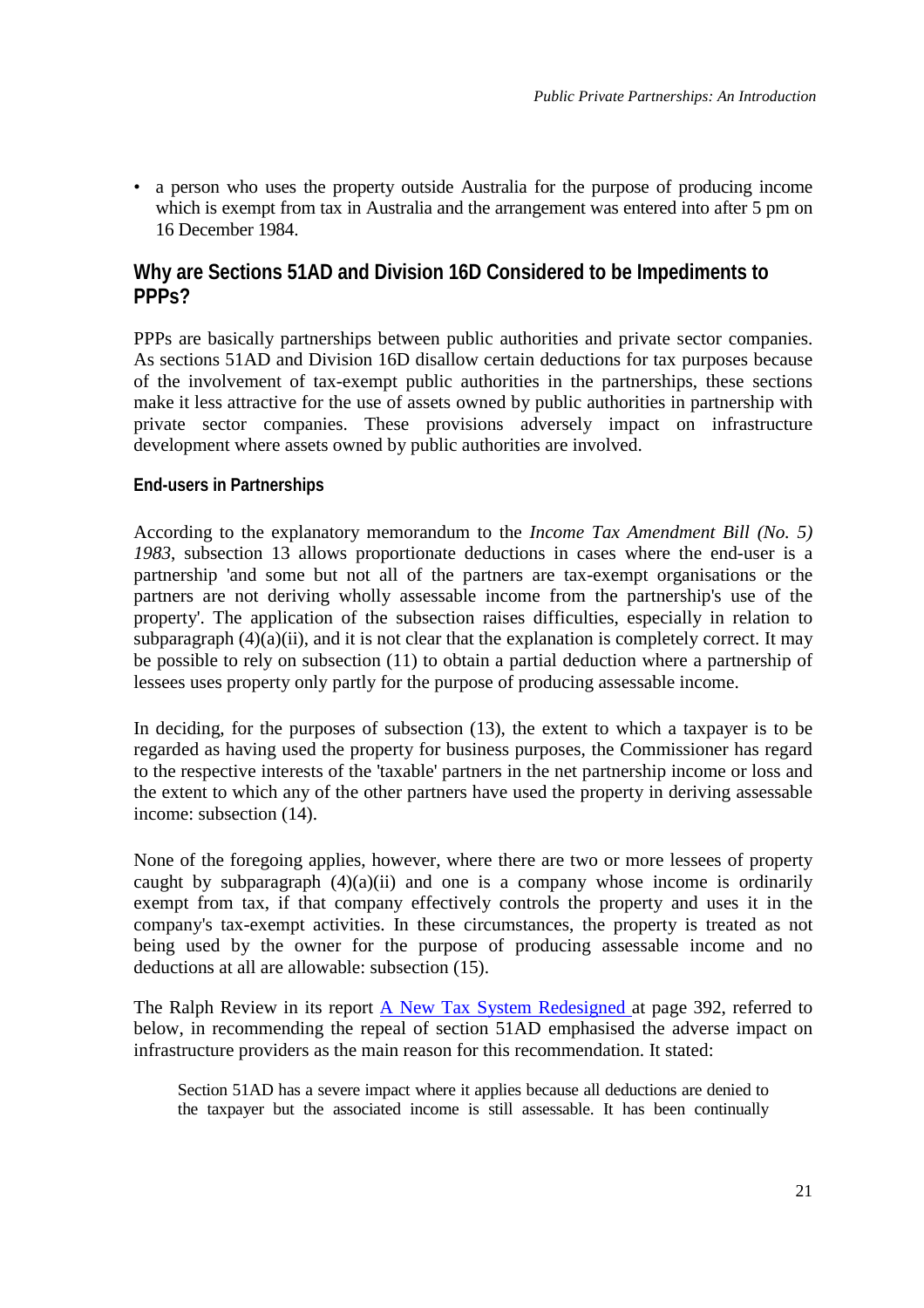• a person who uses the property outside Australia for the purpose of producing income which is exempt from tax in Australia and the arrangement was entered into after 5 pm on 16 December 1984.

## **Why are Sections 51AD and Division 16D Considered to be Impediments to PPPs?**

PPPs are basically partnerships between public authorities and private sector companies. As sections 51AD and Division 16D disallow certain deductions for tax purposes because of the involvement of tax-exempt public authorities in the partnerships, these sections make it less attractive for the use of assets owned by public authorities in partnership with private sector companies. These provisions adversely impact on infrastructure development where assets owned by public authorities are involved.

### **End-users in Partnerships**

According to the explanatory memorandum to the *Income Tax Amendment Bill (No. 5) 1983*, subsection 13 allows proportionate deductions in cases where the end-user is a partnership 'and some but not all of the partners are tax-exempt organisations or the partners are not deriving wholly assessable income from the partnership's use of the property'. The application of the subsection raises difficulties, especially in relation to subparagraph  $(4)(a)(ii)$ , and it is not clear that the explanation is completely correct. It may be possible to rely on subsection (11) to obtain a partial deduction where a partnership of lessees uses property only partly for the purpose of producing assessable income.

In deciding, for the purposes of subsection (13), the extent to which a taxpayer is to be regarded as having used the property for business purposes, the Commissioner has regard to the respective interests of the 'taxable' partners in the net partnership income or loss and the extent to which any of the other partners have used the property in deriving assessable income: subsection (14).

None of the foregoing applies, however, where there are two or more lessees of property caught by subparagraph  $(4)(a)(ii)$  and one is a company whose income is ordinarily exempt from tax, if that company effectively controls the property and uses it in the company's tax-exempt activities. In these circumstances, the property is treated as not being used by the owner for the purpose of producing assessable income and no deductions at all are allowable: subsection (15).

The Ralph Review in its report [A New Tax System Redesigned a](http://www.rbt.treasury.gov.au/publications/paper4/index.htm)t page 392, referred to below, in recommending the repeal of section 51AD emphasised the adverse impact on infrastructure providers as the main reason for this recommendation. It stated:

Section 51AD has a severe impact where it applies because all deductions are denied to the taxpayer but the associated income is still assessable. It has been continually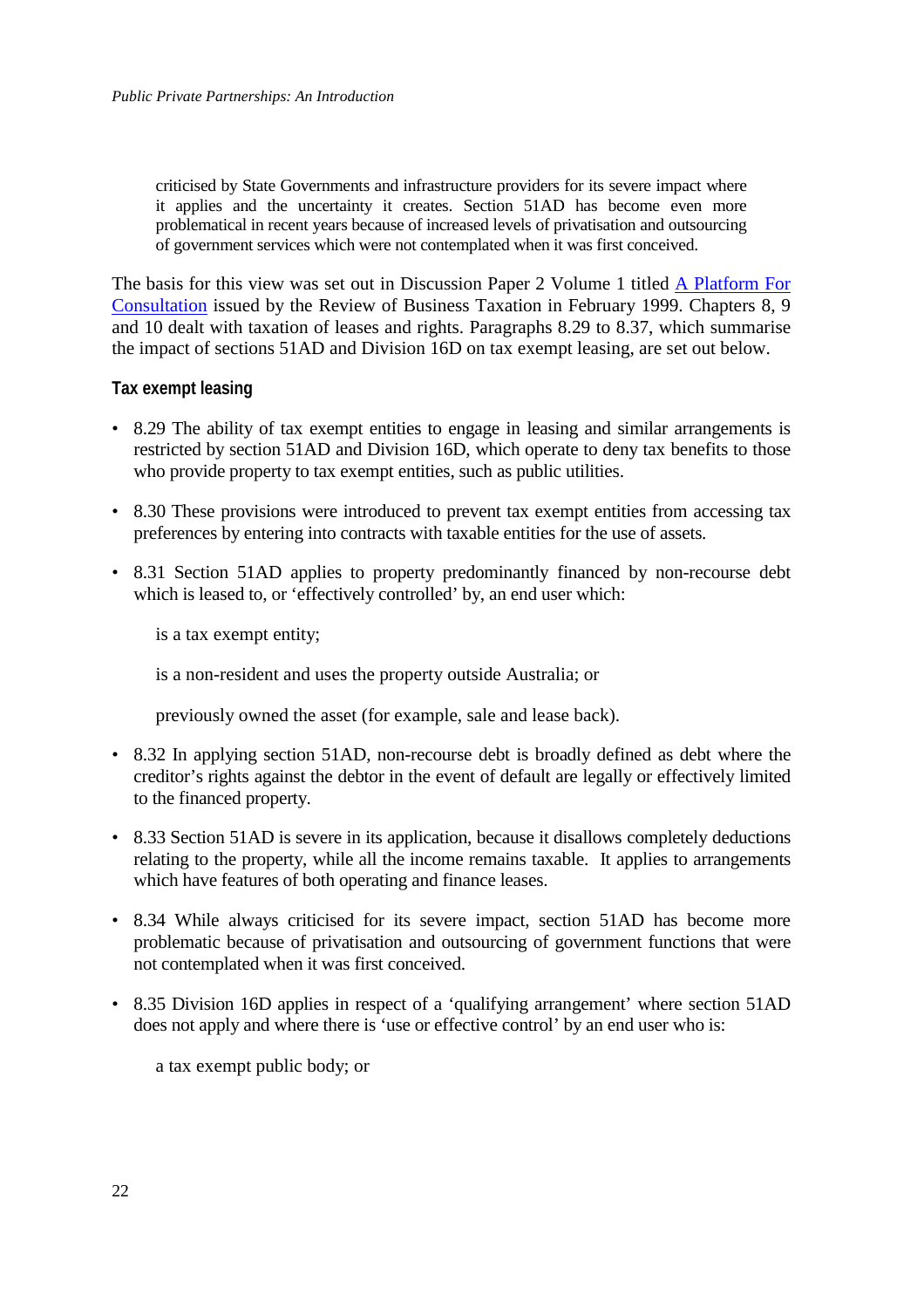criticised by State Governments and infrastructure providers for its severe impact where it applies and the uncertainty it creates. Section 51AD has become even more problematical in recent years because of increased levels of privatisation and outsourcing of government services which were not contemplated when it was first conceived.

The basis for this view was set out in Discussion Paper 2 Volume 1 titled [A Platform For](http://www.rbt.treasury.gov.au/) [Consultation](http://www.rbt.treasury.gov.au/) issued by the Review of Business Taxation in February 1999. Chapters 8, 9 and 10 dealt with taxation of leases and rights. Paragraphs 8.29 to 8.37, which summarise the impact of sections 51AD and Division 16D on tax exempt leasing, are set out below.

### **Tax exempt leasing**

- 8.29 The ability of tax exempt entities to engage in leasing and similar arrangements is restricted by section 51AD and Division 16D, which operate to deny tax benefits to those who provide property to tax exempt entities, such as public utilities.
- 8.30 These provisions were introduced to prevent tax exempt entities from accessing tax preferences by entering into contracts with taxable entities for the use of assets.
- 8.31 Section 51AD applies to property predominantly financed by non-recourse debt which is leased to, or 'effectively controlled' by, an end user which:

is a tax exempt entity;

is a non-resident and uses the property outside Australia; or

previously owned the asset (for example, sale and lease back).

- 8.32 In applying section 51AD, non-recourse debt is broadly defined as debt where the creditor's rights against the debtor in the event of default are legally or effectively limited to the financed property.
- 8.33 Section 51AD is severe in its application, because it disallows completely deductions relating to the property, while all the income remains taxable. It applies to arrangements which have features of both operating and finance leases.
- 8.34 While always criticised for its severe impact, section 51AD has become more problematic because of privatisation and outsourcing of government functions that were not contemplated when it was first conceived.
- 8.35 Division 16D applies in respect of a 'qualifying arrangement' where section 51AD does not apply and where there is 'use or effective control' by an end user who is:

a tax exempt public body; or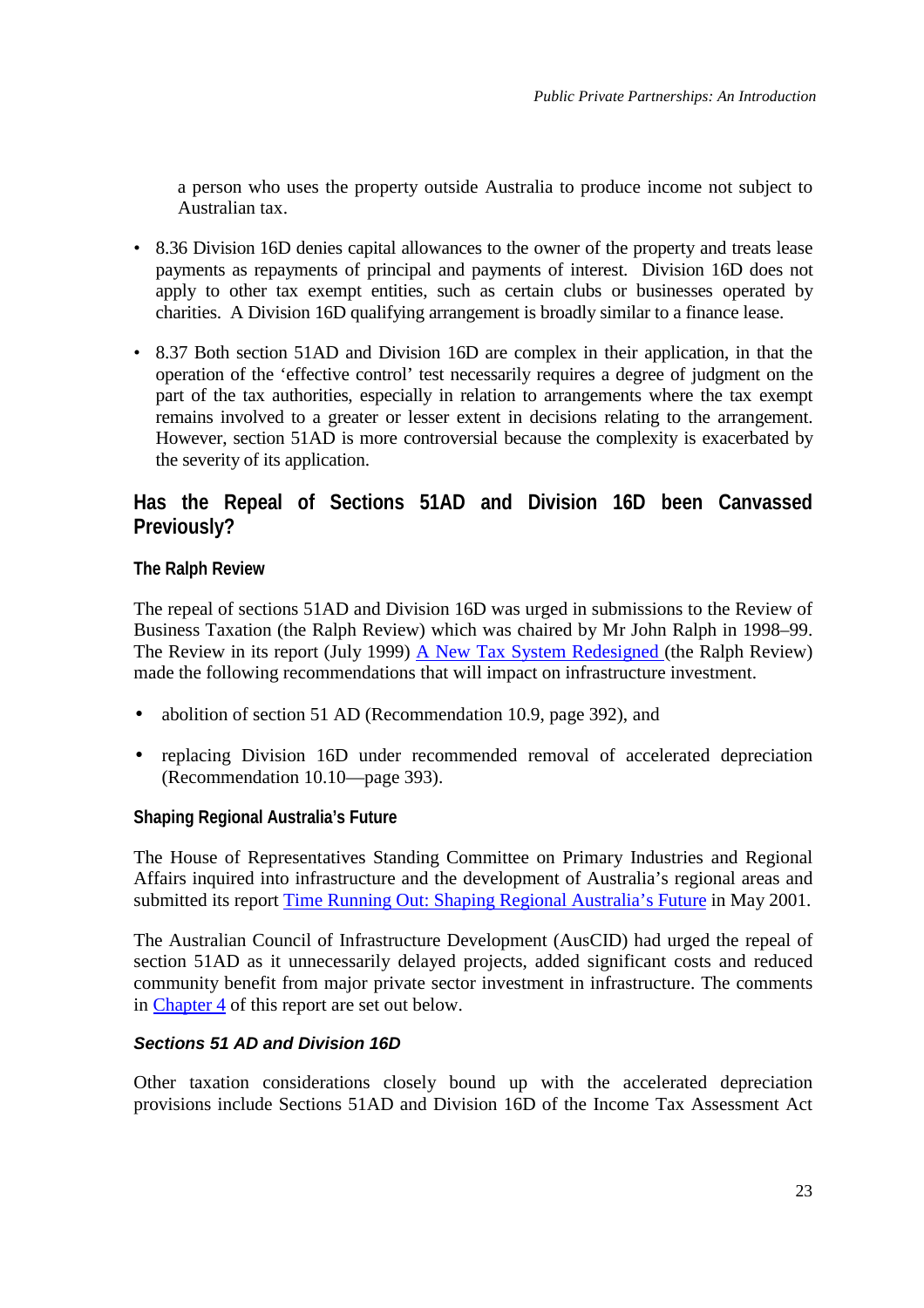a person who uses the property outside Australia to produce income not subject to Australian tax.

- 8.36 Division 16D denies capital allowances to the owner of the property and treats lease payments as repayments of principal and payments of interest. Division 16D does not apply to other tax exempt entities, such as certain clubs or businesses operated by charities. A Division 16D qualifying arrangement is broadly similar to a finance lease.
- 8.37 Both section 51AD and Division 16D are complex in their application, in that the operation of the 'effective control' test necessarily requires a degree of judgment on the part of the tax authorities, especially in relation to arrangements where the tax exempt remains involved to a greater or lesser extent in decisions relating to the arrangement. However, section 51AD is more controversial because the complexity is exacerbated by the severity of its application.

## **Has the Repeal of Sections 51AD and Division 16D been Canvassed Previously?**

### **The Ralph Review**

The repeal of sections 51AD and Division 16D was urged in submissions to the Review of Business Taxation (the Ralph Review) which was chaired by Mr John Ralph in 1998–99. The Review in its report (July 1999) [A New Tax System Redesigned \(](http://www.rbt.treasury.gov.au/publications/paper4/index.htm)the Ralph Review) made the following recommendations that will impact on infrastructure investment.

- abolition of section 51 AD (Recommendation 10.9, page 392), and
- replacing Division 16D under recommended removal of accelerated depreciation (Recommendation 10.10—page 393).

### **Shaping Regional Australia's Future**

The House of Representatives Standing Committee on Primary Industries and Regional Affairs inquired into infrastructure and the development of Australia's regional areas and submitted its report [Time Running Out: Shaping Regional Australia's Future](http://wopared.parl.net/house/committee/primind/rdinq/report/contents.htm) in May 2001.

The Australian Council of Infrastructure Development (AusCID) had urged the repeal of section 51AD as it unnecessarily delayed projects, added significant costs and reduced community benefit from major private sector investment in infrastructure. The comments in [Chapter 4](http://wopared.parl.net/house/committee/primind/rdinq/report/chap4.pdf) of this report are set out below.

### *Sections 51 AD and Division 16D*

Other taxation considerations closely bound up with the accelerated depreciation provisions include Sections 51AD and Division 16D of the Income Tax Assessment Act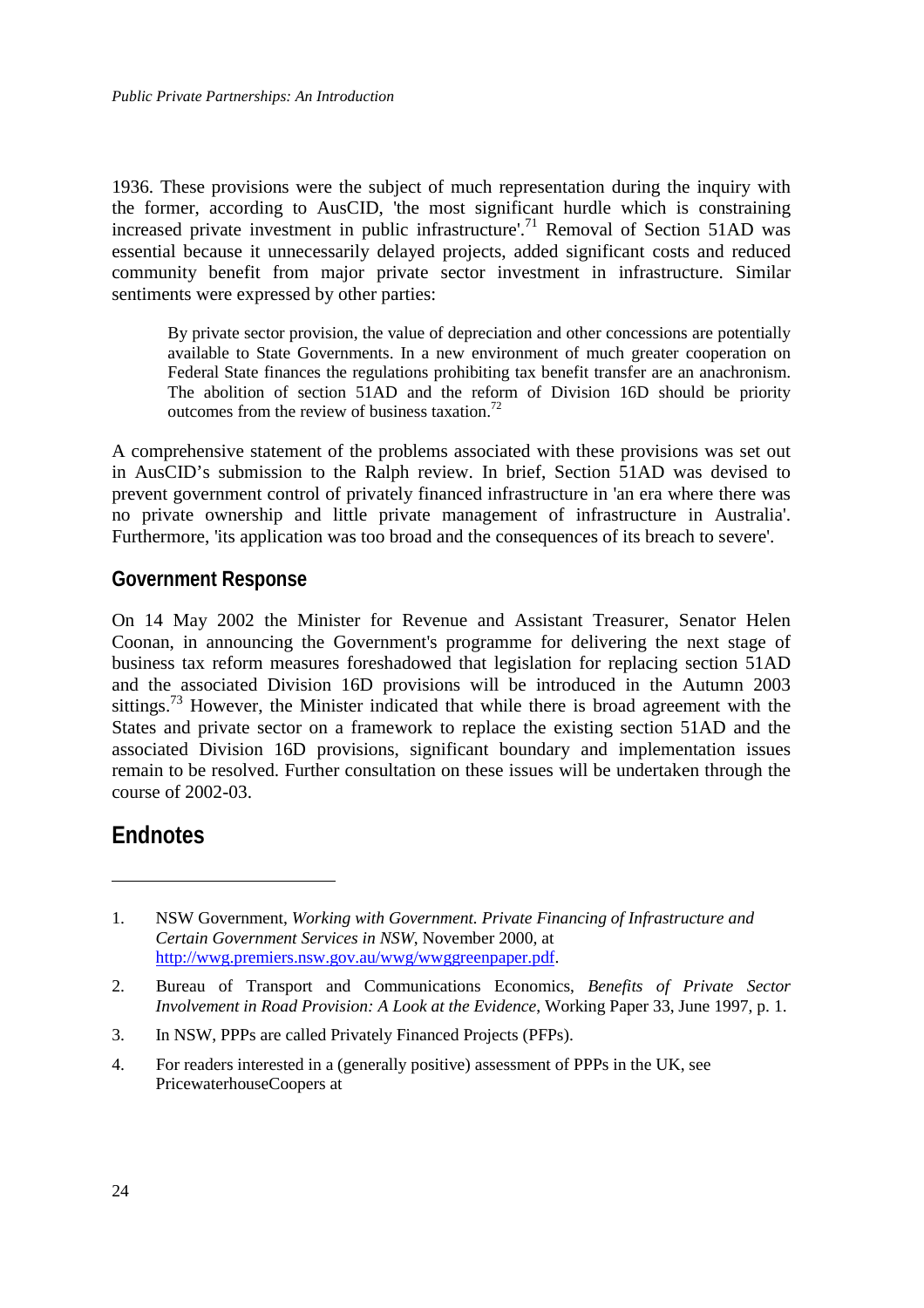<span id="page-31-0"></span>1936. These provisions were the subject of much representation during the inquiry with the former, according to AusCID, 'the most significant hurdle which is constraining increased private investment in public infrastructure'.<sup>71</sup> Removal of Section 51AD was essential because it unnecessarily delayed projects, added significant costs and reduced community benefit from major private sector investment in infrastructure. Similar sentiments were expressed by other parties:

By private sector provision, the value of depreciation and other concessions are potentially available to State Governments. In a new environment of much greater cooperation on Federal State finances the regulations prohibiting tax benefit transfer are an anachronism. The abolition of section 51AD and the reform of Division 16D should be priority outcomes from the review of business taxation.<sup>72</sup>

A comprehensive statement of the problems associated with these provisions was set out in AusCID's submission to the Ralph review. In brief, Section 51AD was devised to prevent government control of privately financed infrastructure in 'an era where there was no private ownership and little private management of infrastructure in Australia'. Furthermore, 'its application was too broad and the consequences of its breach to severe'.

## **Government Response**

On 14 May 2002 the Minister for Revenue and Assistant Treasurer, Senator Helen Coonan, in announcing the Government's programme for delivering the next stage of business tax reform measures foreshadowed that legislation for replacing section 51AD and the associated Division 16D provisions will be introduced in the Autumn 2003 sittings.<sup>73</sup> However, the Minister indicated that while there is broad agreement with the States and private sector on a framework to replace the existing section 51AD and the associated Division 16D provisions, significant boundary and implementation issues remain to be resolved. Further consultation on these issues will be undertaken through the course of 2002-03.

## **Endnotes**

 $\overline{a}$ 

4. For readers interested in a (generally positive) assessment of PPPs in the UK, see PricewaterhouseCoopers at

<sup>1.</sup> NSW Government, *Working with Government. Private Financing of Infrastructure and Certain Government Services in NSW*, November 2000, at [http://wwg.premiers.nsw.gov.au/wwg/wwggreenpaper.pdf.](http://wwg.premiers.nsw.gov.au/wwg/wwggreenpaper.pdf)

<sup>2.</sup> Bureau of Transport and Communications Economics, *Benefits of Private Sector Involvement in Road Provision: A Look at the Evidence*, Working Paper 33, June 1997, p. 1.

<sup>3.</sup> In NSW, PPPs are called Privately Financed Projects (PFPs).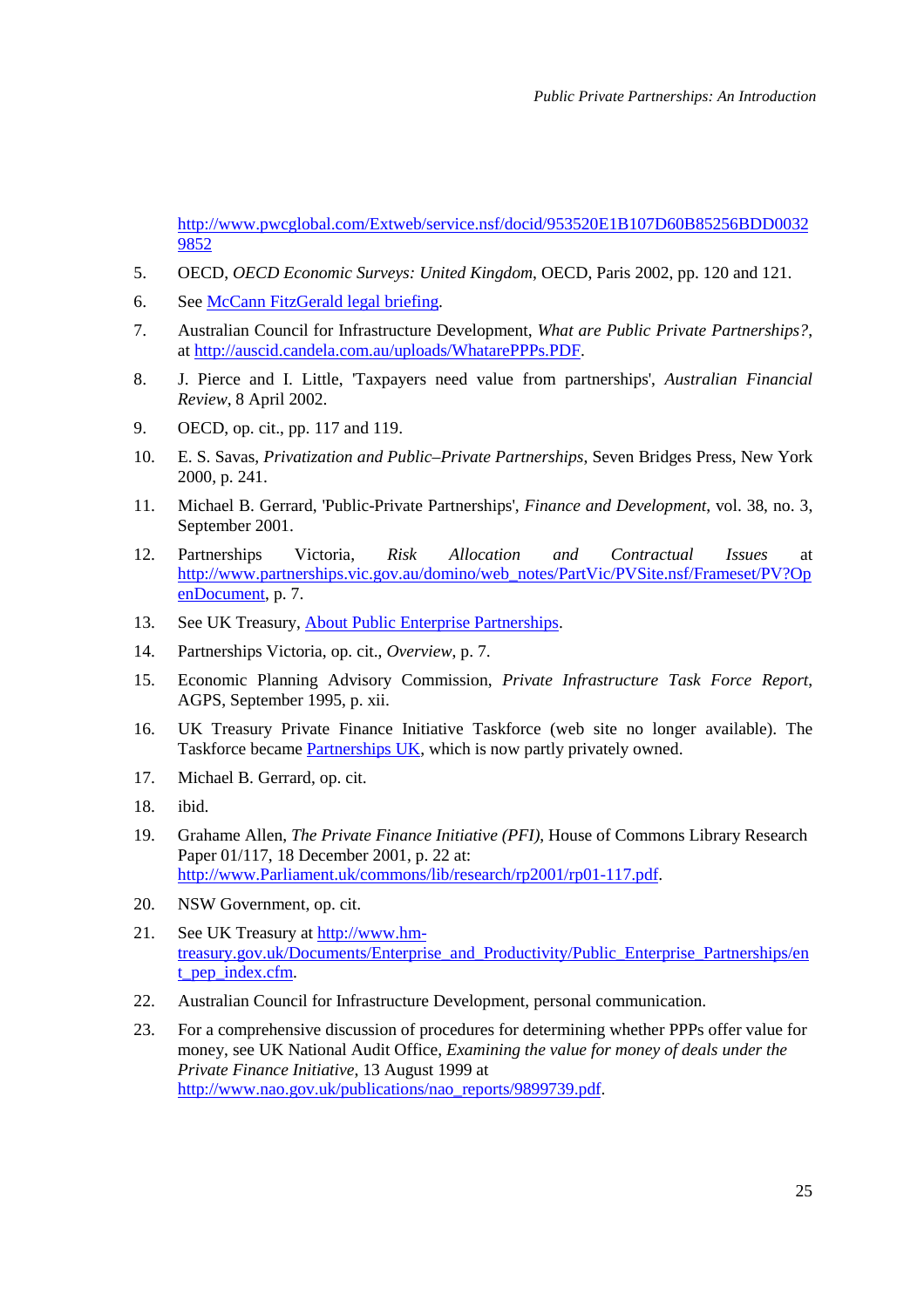<http://www.pwcglobal.com/Extweb/service.nsf/docid/953520E1B107D60B85256BDD0032> 9852

- 5. OECD, *OECD Economic Surveys: United Kingdom*, OECD, Paris 2002, pp. 120 and 121.
- 6. See McCann FitzGerald legal briefing.
- 7. Australian Council for Infrastructure Development, *What are Public Private Partnerships?*, at [http://auscid.candela.com.au/uploads/WhatarePPPs.PDF.](http://auscid.candela.com.au/uploads/WhatarePPPs.PDF)
- 8. J. Pierce and I. Little, 'Taxpayers need value from partnerships', *Australian Financial Review*, 8 April 2002.
- 9. OECD, op. cit., pp. 117 and 119.
- 10. E. S. Savas, *Privatization and Public–Private Partnerships*, Seven Bridges Press, New York 2000, p. 241.
- 11. Michael B. Gerrard, 'Public-Private Partnerships', *Finance and Development*, vol. 38, no. 3, September 2001.
- 12. Partnerships Victoria, *Risk Allocation and Contractual Issues* at [http://www.partnerships.vic.gov.au/domino/web\\_notes/PartVic/PVSite.nsf/Frameset/PV?Op](http://www.partnerships.vic.gov.au/domino/web_notes/PartVic/PVSite.nsf/Frameset/PV?Op) enDocument, p. 7.
- 13. See UK Treasury, About Public Enterprise Partnerships.
- 14. Partnerships Victoria, op. cit., *Overview*, p. 7.
- 15. Economic Planning Advisory Commission, *Private Infrastructure Task Force Report*, AGPS, September 1995, p. xii.
- 16. UK Treasury Private Finance Initiative Taskforce (web site no longer available). The Taskforce became Partnerships UK, which is now partly privately owned.
- 17. Michael B. Gerrard, op. cit.
- 18. ibid.
- 19. Grahame Allen, *The Private Finance Initiative (PFI)*, House of Commons Library Research Paper 01/117, 18 December 2001, p. 22 at: [http://www.Parliament.uk/commons/lib/research/rp2001/rp01-117.pdf.](http://www.Parliament.uk/commons/lib/research/rp2001/rp01-117.pdf)
- 20. NSW Government, op. cit.
- 21. See UK Treasury at http://www.hm[treasury.gov.uk/Documents/Enterprise\\_and\\_Productivity/Public\\_Enterprise\\_Partnerships/en](http://www.hm-treasury.gov.uk/Documents/Enterprise_and_Productivity/Public_Enterprise_Partnerships/en) t\_pep\_index.cfm.
- 22. Australian Council for Infrastructure Development, personal communication.
- 23. For a comprehensive discussion of procedures for determining whether PPPs offer value for money, see UK National Audit Office, *Examining the value for money of deals under the Private Finance Initiative*, 13 August 1999 at [http://www.nao.gov.uk/publications/nao\\_reports/9899739.pdf.](http://www.nao.gov.uk/publications/nao_reports/9899739.pdf.)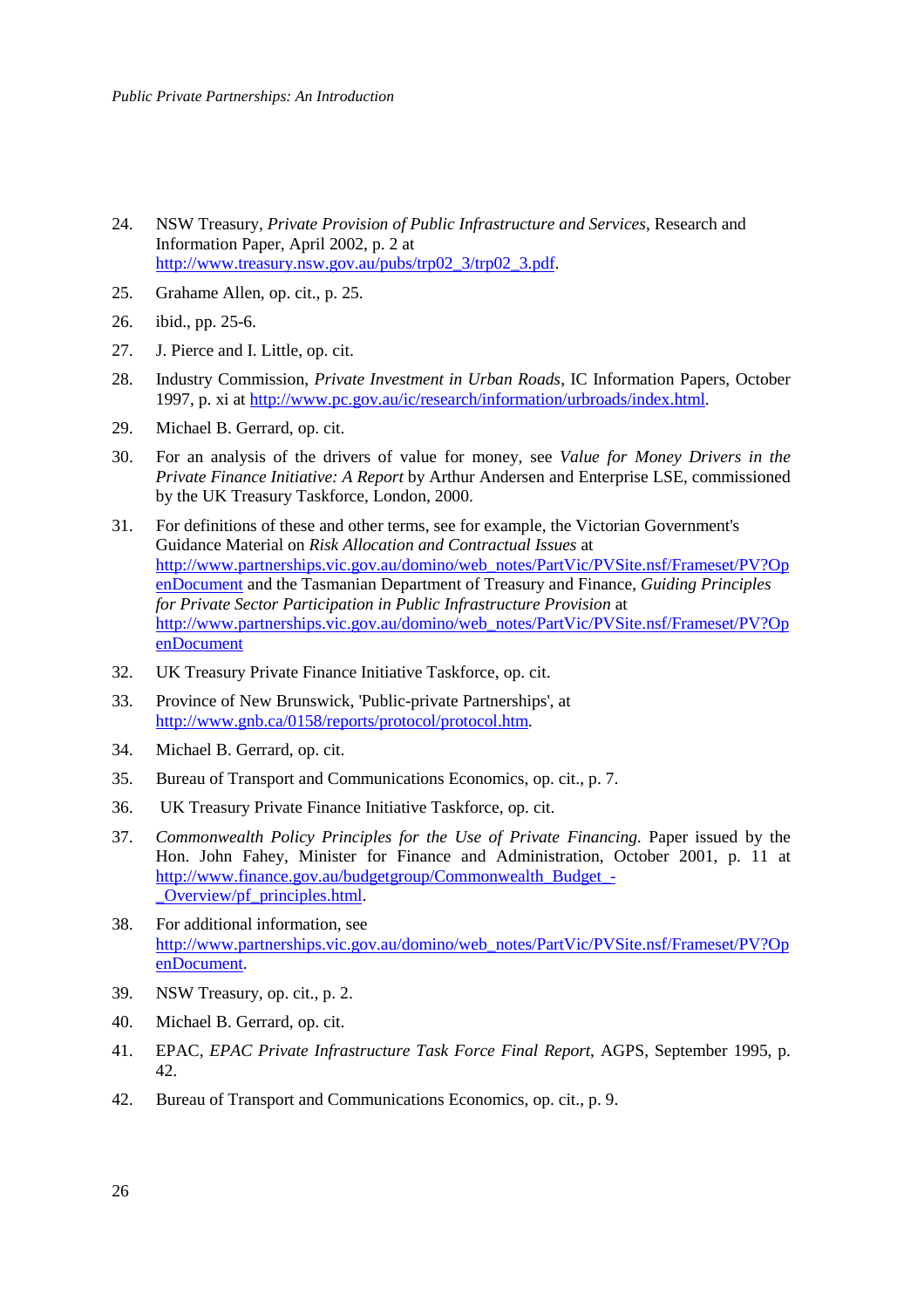- 24. NSW Treasury, *Private Provision of Public Infrastructure and Services*, Research and Information Paper, April 2002, p. 2 at [http://www.treasury.nsw.gov.au/pubs/trp02\\_3/trp02\\_3.pdf.](http://www.treasury.nsw.gov.au/pubs/trp02_3/trp02_3.pdf)
- 25. Grahame Allen, op. cit., p. 25.
- 26. ibid., pp. 25-6.
- 27. J. Pierce and I. Little, op. cit.
- 28. Industry Commission, *Private Investment in Urban Roads*, IC Information Papers, October 1997, p. xi at [http://www.pc.gov.au/ic/research/information/urbroads/index.html.](http://www.pc.gov.au/ic/research/information/urbroads/index.html)
- 29. Michael B. Gerrard, op. cit.
- 30. For an analysis of the drivers of value for money, see *Value for Money Drivers in the Private Finance Initiative: A Report* by Arthur Andersen and Enterprise LSE, commissioned by the UK Treasury Taskforce, London, 2000.
- 31. For definitions of these and other terms, see for example, the Victorian Government's Guidance Material on *Risk Allocation and Contractual Issues* at [http://www.partnerships.vic.gov.au/domino/web\\_notes/PartVic/PVSite.nsf/Frameset/PV?Op](http://www.partnerships.vic.gov.au/domino/web_notes/PartVic/PVSite.nsf/Frameset/PV?Op) enDocument and the Tasmanian Department of Treasury and Finance, *Guiding Principles for Private Sector Participation in Public Infrastructure Provision* at [http://www.partnerships.vic.gov.au/domino/web\\_notes/PartVic/PVSite.nsf/Frameset/PV?Op](http://www.partnerships.vic.gov.au/domino/web_notes/PartVic/PVSite.nsf/Frameset/PV?Op) enDocument
- 32. UK Treasury Private Finance Initiative Taskforce, op. cit.
- 33. Province of New Brunswick, 'Public-private Partnerships', at [http://www.gnb.ca/0158/reports/protocol/protocol.htm.](http://www.gnb.ca/0158/reports/protocol/protocol.htm)
- 34. Michael B. Gerrard, op. cit.
- 35. Bureau of Transport and Communications Economics, op. cit., p. 7.
- 36. UK Treasury Private Finance Initiative Taskforce, op. cit.
- 37. *Commonwealth Policy Principles for the Use of Private Financing*. Paper issued by the Hon. John Fahey, Minister for Finance and Administration, October 2001, p. 11 at [http://www.finance.gov.au/budgetgroup/Commonwealth\\_Budget\\_-](http://www.finance.gov.au/budgetgroup/Commonwealth_Budget_-_Overview/pf_principles.html) \_Overview/pf\_principles.html.
- 38. For additional information, see [http://www.partnerships.vic.gov.au/domino/web\\_notes/PartVic/PVSite.nsf/Frameset/PV?Op](http://www.partnerships.vic.gov.au/domino/web_notes/PartVic/PVSite.nsf/Frameset/PV?Op) enDocument.
- 39. NSW Treasury, op. cit., p. 2.
- 40. Michael B. Gerrard, op. cit.
- 41. EPAC, *EPAC Private Infrastructure Task Force Final Report*, AGPS, September 1995, p. 42.
- 42. Bureau of Transport and Communications Economics, op. cit., p. 9.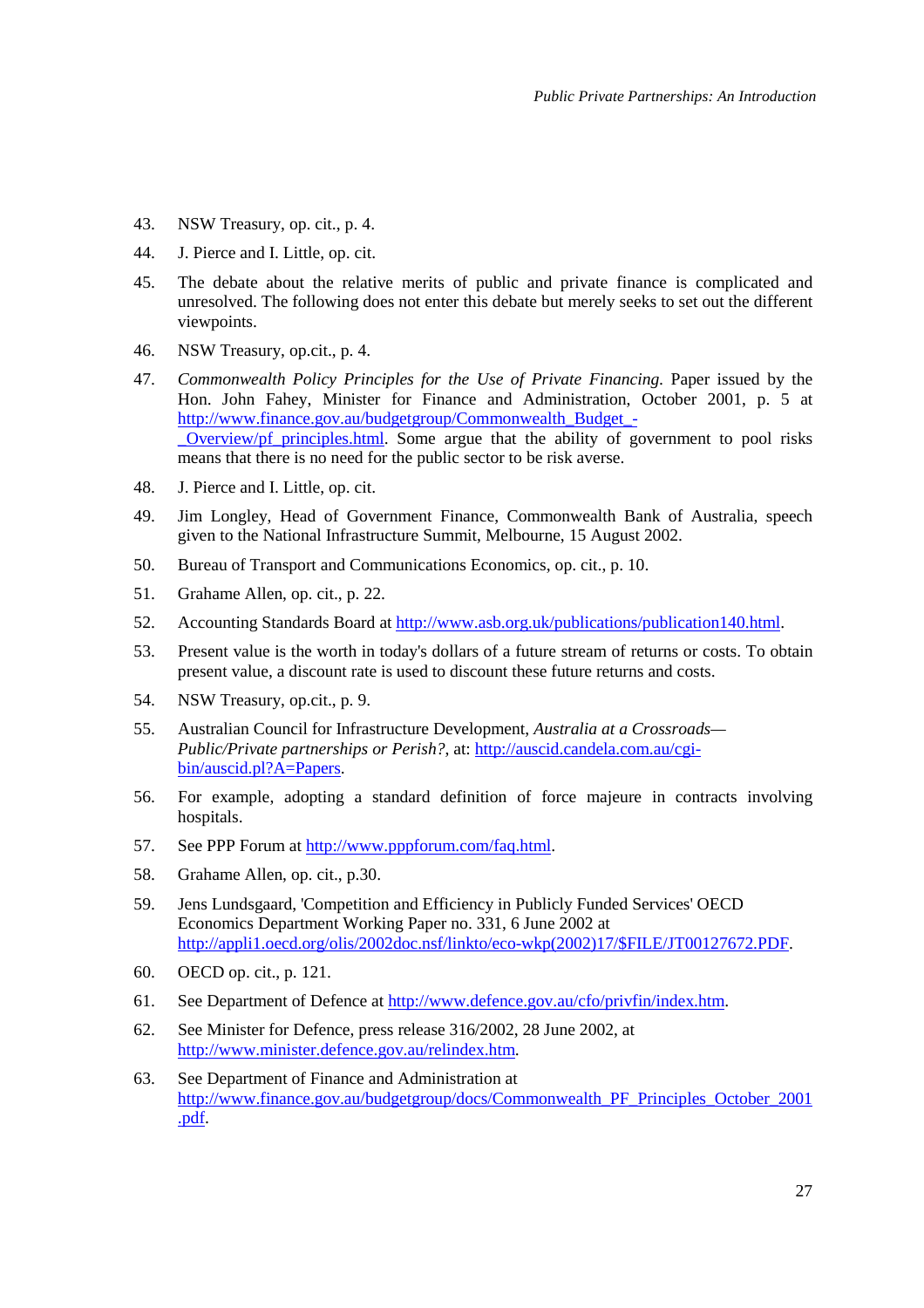- 43. NSW Treasury, op. cit., p. 4.
- 44. J. Pierce and I. Little, op. cit.
- 45. The debate about the relative merits of public and private finance is complicated and unresolved. The following does not enter this debate but merely seeks to set out the different viewpoints.
- 46. NSW Treasury, op.cit., p. 4.
- 47. *Commonwealth Policy Principles for the Use of Private Financing*. Paper issued by the Hon. John Fahey, Minister for Finance and Administration, October 2001, p. 5 at http://www.finance.gov.au/budgetgroup/Commonwealth\_Budget\_- [\\_Overview/pf\\_principles.html. Some argue that the ability of go](http://www.finance.gov.au/budgetgroup/Commonwealth_Budget_-_Overview/pf_principles.html)vernment to pool risks means that there is no need for the public sector to be risk averse.
- 48. J. Pierce and I. Little, op. cit.
- 49. Jim Longley, Head of Government Finance, Commonwealth Bank of Australia, speech given to the National Infrastructure Summit, Melbourne, 15 August 2002.
- 50. Bureau of Transport and Communications Economics, op. cit., p. 10.
- 51. Grahame Allen, op. cit., p. 22.
- 52. Accounting Standards Board at [http://www.asb.org.uk/publications/publication140.html.](http://www.asb.org.uk/publications/publication140.html)
- 53. Present value is the worth in today's dollars of a future stream of returns or costs. To obtain present value, a discount rate is used to discount these future returns and costs.
- 54. NSW Treasury, op.cit., p. 9.
- 55. Australian Council for Infrastructure Development, *Australia at a Crossroads— [Public/Private partnerships or Perish?](http://auscid.candela.com.au/cgi-bin/auscid.pl?A=Papers)*, at: http://auscid.candela.com.au/cgibin/auscid.pl?A=Papers.
- 56. For example, adopting a standard definition of force majeure in contracts involving hospitals.
- 57. See PPP Forum at [http://www.pppforum.com/faq.html.](http://www.pppforum.com/faq.html)
- 58. Grahame Allen, op. cit., p.30.
- 59. Jens Lundsgaard, 'Competition and Efficiency in Publicly Funded Services' OECD Economics Department Working Paper no. 331, 6 June 2002 at [http://appli1.oecd.org/olis/2002doc.nsf/linkto/eco-wkp\(2002\)17/\\$FILE/JT00127672.PDF.](http://appli1.oecd.org/olis/2002doc.nsf/linkto/eco-wkp(2002)17/$FILE/JT00127672.PDF)
- 60. OECD op. cit., p. 121.
- 61. See Department of Defence at [http://www.defence.gov.au/cfo/privfin/index.htm.](http://www.defence.gov.au/cfo/privfin/index.htm)
- 62. See Minister for Defence, press release 316/2002, 28 June 2002, at [http://www.minister.defence.gov.au/relindex.htm.](http://www.minister.defence.gov.au/relindex.htm)
- 63. See Department of Finance and Administration at [http://www.finance.gov.au/budgetgroup/docs/Commonwealth\\_PF\\_Principles\\_October\\_2001](http://www.finance.gov.au/budgetgroup/docs/Commonwealth_PF_Principles_October_2001) .pdf.